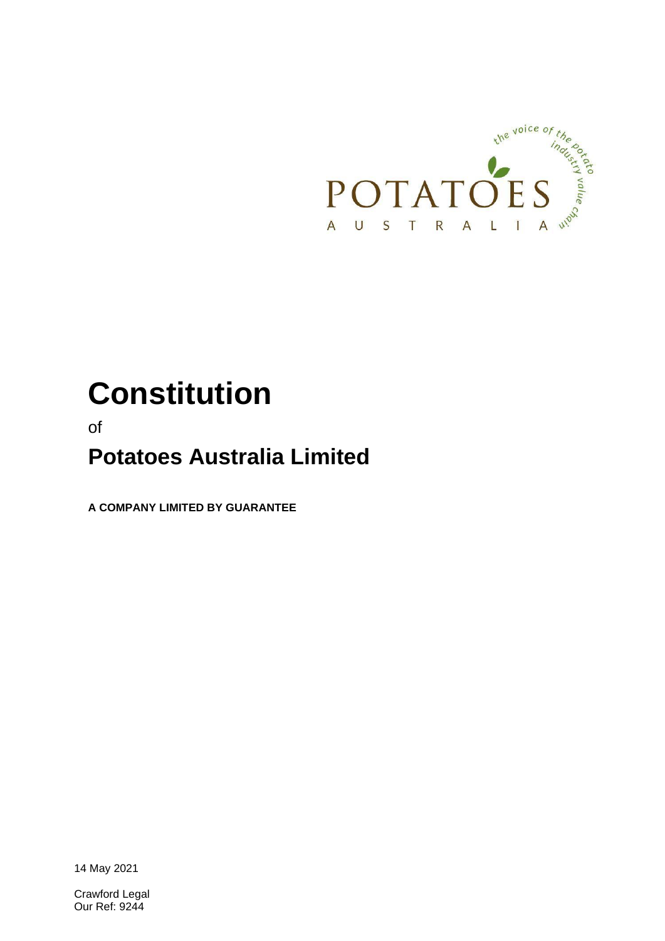

# **Constitution**

of

## **Potatoes Australia Limited**

**A COMPANY LIMITED BY GUARANTEE**

14 May 2021

Crawford Legal Our Ref: 9244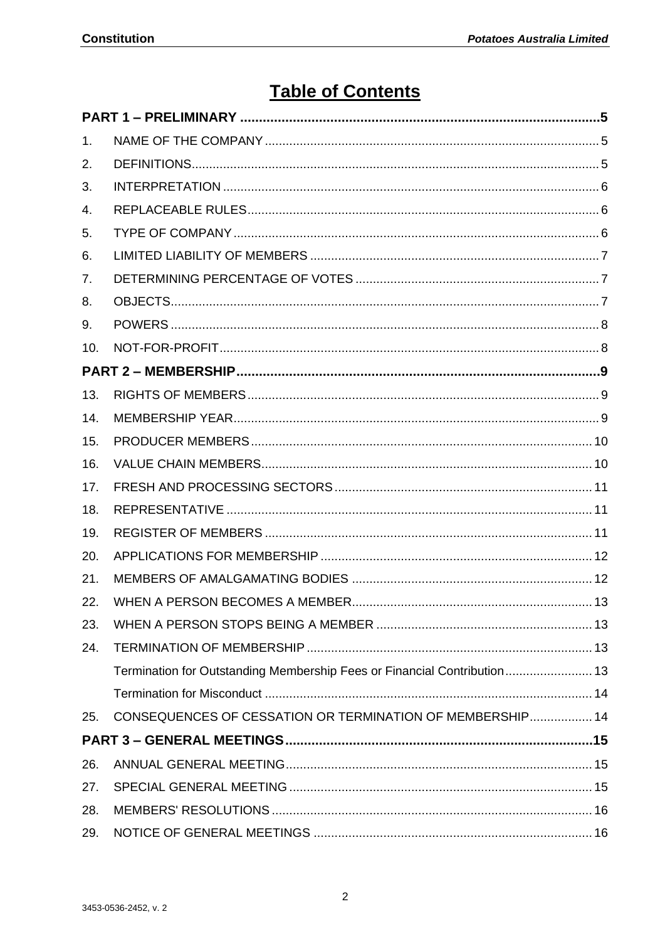## **Table of Contents**

| 1.  |                                                                          |  |
|-----|--------------------------------------------------------------------------|--|
| 2.  |                                                                          |  |
| 3.  |                                                                          |  |
| 4.  |                                                                          |  |
| 5.  |                                                                          |  |
| 6.  |                                                                          |  |
| 7.  |                                                                          |  |
| 8.  |                                                                          |  |
| 9.  |                                                                          |  |
| 10. |                                                                          |  |
|     |                                                                          |  |
| 13. |                                                                          |  |
| 14. |                                                                          |  |
| 15. |                                                                          |  |
| 16. |                                                                          |  |
| 17. |                                                                          |  |
| 18. |                                                                          |  |
| 19. |                                                                          |  |
| 20. |                                                                          |  |
| 21. |                                                                          |  |
| 22. |                                                                          |  |
| 23. |                                                                          |  |
| 24. |                                                                          |  |
|     | Termination for Outstanding Membership Fees or Financial Contribution 13 |  |
|     |                                                                          |  |
| 25. | <b>CONSEQUENCES OF CESSATION OR TERMINATION OF MEMBERSHIP 14</b>         |  |
|     |                                                                          |  |
| 26. |                                                                          |  |
| 27. |                                                                          |  |
| 28. |                                                                          |  |
| 29. |                                                                          |  |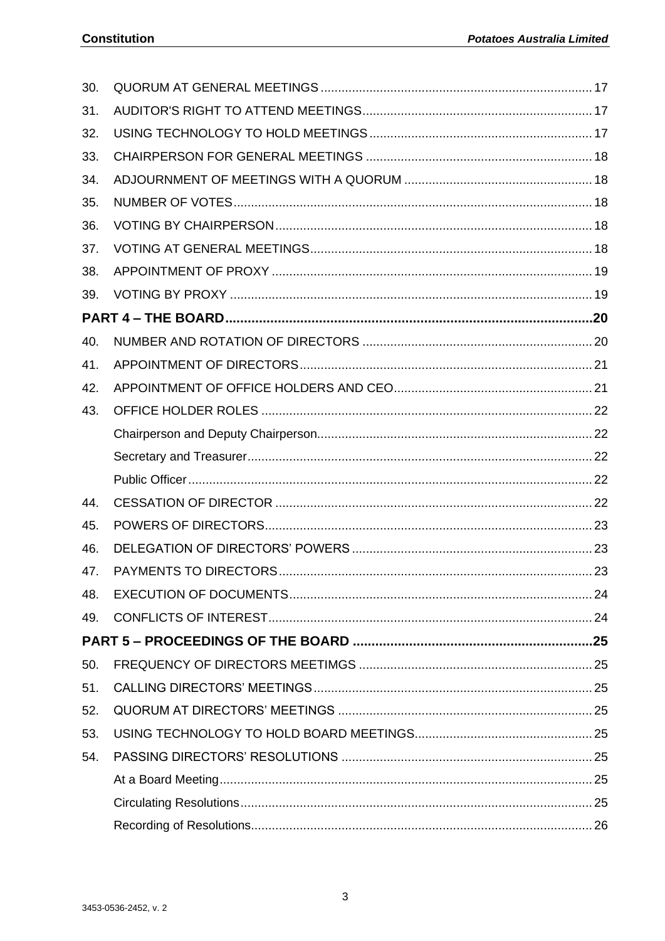| 30. |  |
|-----|--|
| 31. |  |
| 32. |  |
| 33. |  |
| 34. |  |
| 35. |  |
| 36. |  |
| 37. |  |
| 38. |  |
| 39. |  |
|     |  |
| 40. |  |
| 41. |  |
| 42. |  |
| 43. |  |
|     |  |
|     |  |
|     |  |
| 44. |  |
| 45. |  |
| 46. |  |
| 47. |  |
| 48. |  |
| 49. |  |
|     |  |
| 50. |  |
| 51. |  |
| 52. |  |
| 53. |  |
| 54. |  |
|     |  |
|     |  |
|     |  |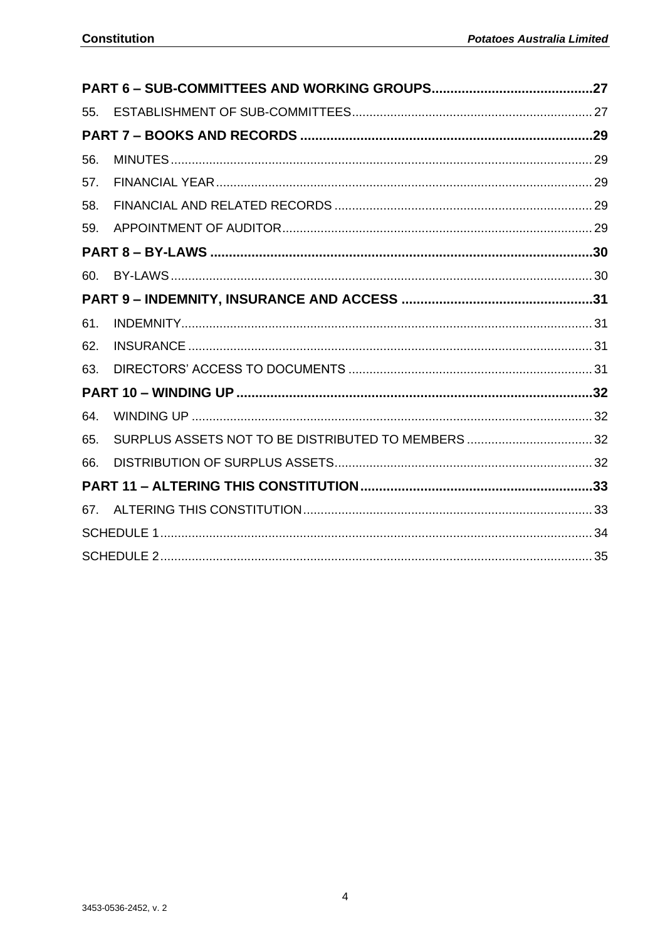| 55. |  |
|-----|--|
|     |  |
| 56. |  |
| 57. |  |
| 58. |  |
| 59. |  |
|     |  |
| 60. |  |
|     |  |
| 61. |  |
| 62. |  |
| 63. |  |
|     |  |
| 64. |  |
| 65. |  |
| 66. |  |
|     |  |
| 67. |  |
|     |  |
|     |  |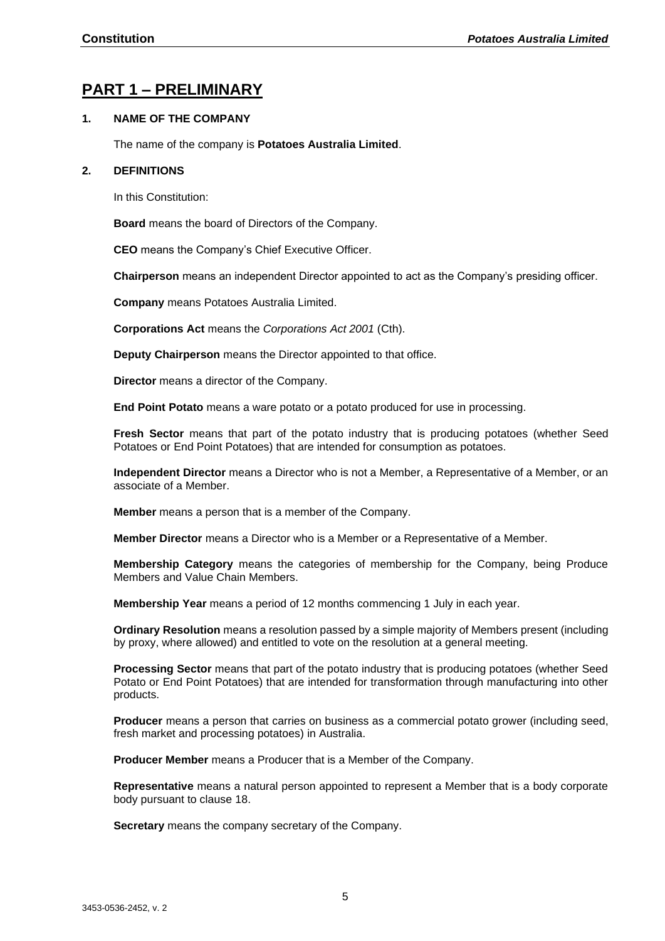## <span id="page-4-0"></span>**PART 1 – PRELIMINARY**

#### <span id="page-4-1"></span>**1. NAME OF THE COMPANY**

The name of the company is **Potatoes Australia Limited**.

#### <span id="page-4-2"></span>**2. DEFINITIONS**

In this Constitution:

**Board** means the board of Directors of the Company.

**CEO** means the Company's Chief Executive Officer.

**Chairperson** means an independent Director appointed to act as the Company's presiding officer.

**Company** means Potatoes Australia Limited.

**Corporations Act** means the *Corporations Act 2001* (Cth).

**Deputy Chairperson** means the Director appointed to that office.

**Director** means a director of the Company.

**End Point Potato** means a ware potato or a potato produced for use in processing.

**Fresh Sector** means that part of the potato industry that is producing potatoes (whether Seed Potatoes or End Point Potatoes) that are intended for consumption as potatoes.

**Independent Director** means a Director who is not a Member, a Representative of a Member, or an associate of a Member.

**Member** means a person that is a member of the Company.

**Member Director** means a Director who is a Member or a Representative of a Member.

**Membership Category** means the categories of membership for the Company, being Produce Members and Value Chain Members.

**Membership Year** means a period of 12 months commencing 1 July in each year.

**Ordinary Resolution** means a resolution passed by a simple majority of Members present (including by proxy, where allowed) and entitled to vote on the resolution at a general meeting.

**Processing Sector** means that part of the potato industry that is producing potatoes (whether Seed Potato or End Point Potatoes) that are intended for transformation through manufacturing into other products.

**Producer** means a person that carries on business as a commercial potato grower (including seed, fresh market and processing potatoes) in Australia.

**Producer Member** means a Producer that is a Member of the Company.

**Representative** means a natural person appointed to represent a Member that is a body corporate body pursuant to clause [18.](#page-10-1)

**Secretary** means the company secretary of the Company.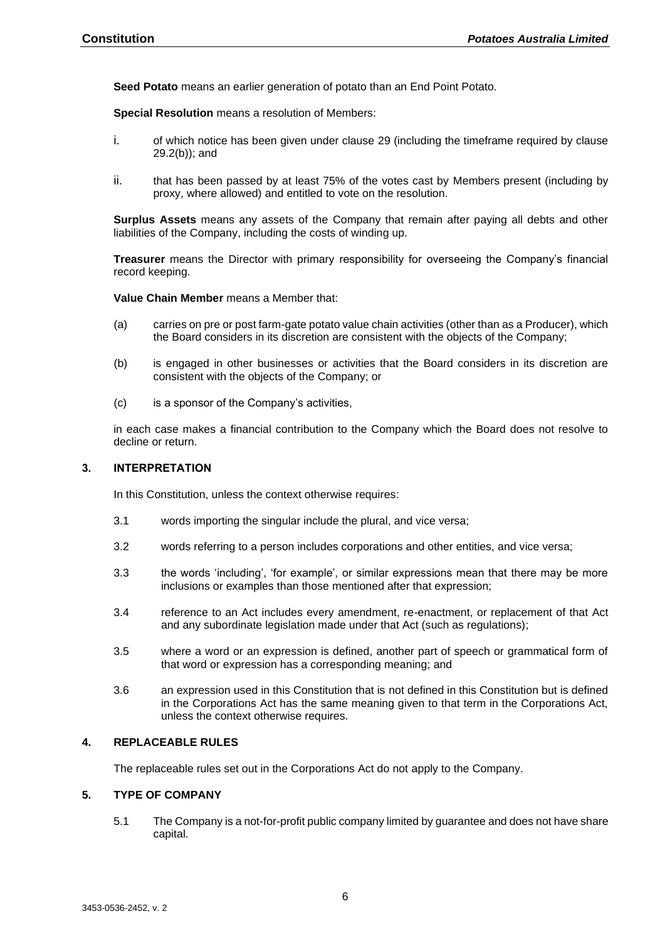**Seed Potato** means an earlier generation of potato than an End Point Potato.

**Special Resolution** means a resolution of Members:

- i. of which notice has been given under clause [29](#page-15-1) (including the timeframe required by clause [29.2\(b\)\)](#page-15-2); and
- ii. that has been passed by at least 75% of the votes cast by Members present (including by proxy, where allowed) and entitled to vote on the resolution.

**Surplus Assets** means any assets of the Company that remain after paying all debts and other liabilities of the Company, including the costs of winding up.

**Treasurer** means the Director with primary responsibility for overseeing the Company's financial record keeping.

**Value Chain Member** means a Member that:

- (a) carries on pre or post farm-gate potato value chain activities (other than as a Producer), which the Board considers in its discretion are consistent with the objects of the Company;
- (b) is engaged in other businesses or activities that the Board considers in its discretion are consistent with the objects of the Company; or
- (c) is a sponsor of the Company's activities,

in each case makes a financial contribution to the Company which the Board does not resolve to decline or return.

#### <span id="page-5-0"></span>**3. INTERPRETATION**

In this Constitution, unless the context otherwise requires:

- 3.1 words importing the singular include the plural, and vice versa;
- 3.2 words referring to a person includes corporations and other entities, and vice versa;
- 3.3 the words 'including', 'for example', or similar expressions mean that there may be more inclusions or examples than those mentioned after that expression;
- 3.4 reference to an Act includes every amendment, re-enactment, or replacement of that Act and any subordinate legislation made under that Act (such as regulations);
- 3.5 where a word or an expression is defined, another part of speech or grammatical form of that word or expression has a corresponding meaning; and
- 3.6 an expression used in this Constitution that is not defined in this Constitution but is defined in the Corporations Act has the same meaning given to that term in the Corporations Act, unless the context otherwise requires.

#### <span id="page-5-1"></span>**4. REPLACEABLE RULES**

The replaceable rules set out in the Corporations Act do not apply to the Company.

#### <span id="page-5-2"></span>**5. TYPE OF COMPANY**

5.1 The Company is a not-for-profit public company limited by guarantee and does not have share capital.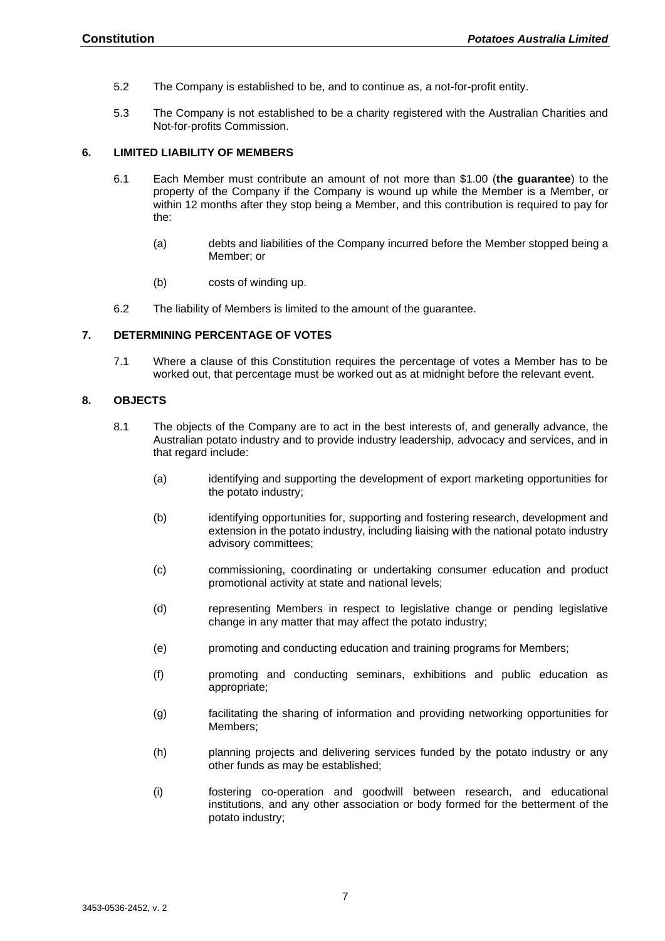- 5.2 The Company is established to be, and to continue as, a not-for-profit entity.
- 5.3 The Company is not established to be a charity registered with the Australian Charities and Not-for-profits Commission.

#### <span id="page-6-0"></span>**6. LIMITED LIABILITY OF MEMBERS**

- 6.1 Each Member must contribute an amount of not more than \$1.00 (**the guarantee**) to the property of the Company if the Company is wound up while the Member is a Member, or within 12 months after they stop being a Member, and this contribution is required to pay for the:
	- (a) debts and liabilities of the Company incurred before the Member stopped being a Member; or
	- (b) costs of winding up.
- 6.2 The liability of Members is limited to the amount of the guarantee.

#### <span id="page-6-1"></span>**7. DETERMINING PERCENTAGE OF VOTES**

7.1 Where a clause of this Constitution requires the percentage of votes a Member has to be worked out, that percentage must be worked out as at midnight before the relevant event.

#### <span id="page-6-3"></span><span id="page-6-2"></span>**8. OBJECTS**

- 8.1 The objects of the Company are to act in the best interests of, and generally advance, the Australian potato industry and to provide industry leadership, advocacy and services, and in that regard include:
	- (a) identifying and supporting the development of export marketing opportunities for the potato industry;
	- (b) identifying opportunities for, supporting and fostering research, development and extension in the potato industry, including liaising with the national potato industry advisory committees;
	- (c) commissioning, coordinating or undertaking consumer education and product promotional activity at state and national levels;
	- (d) representing Members in respect to legislative change or pending legislative change in any matter that may affect the potato industry;
	- (e) promoting and conducting education and training programs for Members;
	- (f) promoting and conducting seminars, exhibitions and public education as appropriate;
	- (g) facilitating the sharing of information and providing networking opportunities for Members;
	- (h) planning projects and delivering services funded by the potato industry or any other funds as may be established;
	- (i) fostering co-operation and goodwill between research, and educational institutions, and any other association or body formed for the betterment of the potato industry;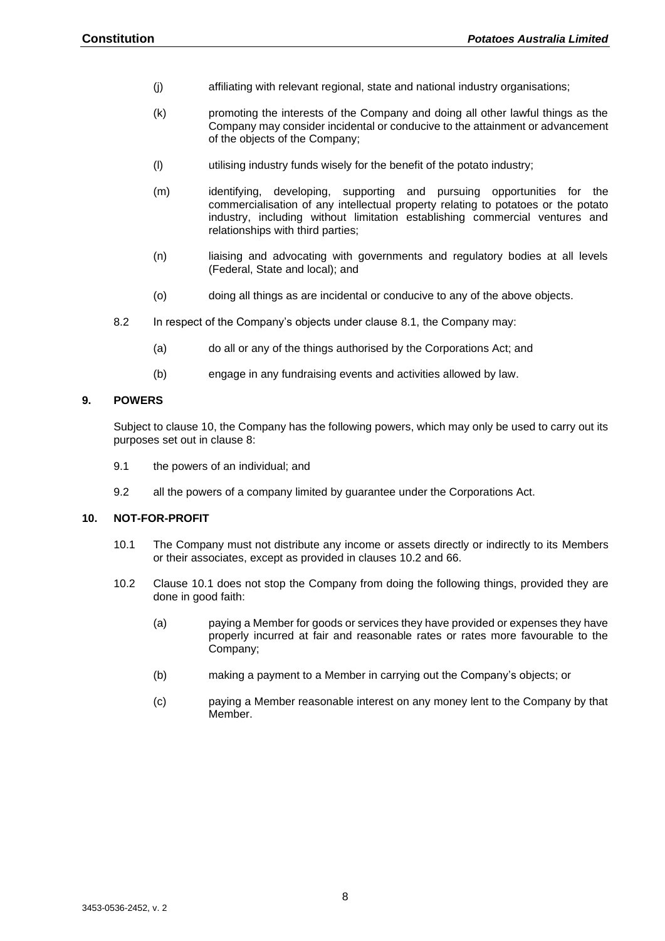- (j) affiliating with relevant regional, state and national industry organisations;
- (k) promoting the interests of the Company and doing all other lawful things as the Company may consider incidental or conducive to the attainment or advancement of the objects of the Company;
- (l) utilising industry funds wisely for the benefit of the potato industry;
- (m) identifying, developing, supporting and pursuing opportunities for the commercialisation of any intellectual property relating to potatoes or the potato industry, including without limitation establishing commercial ventures and relationships with third parties;
- (n) liaising and advocating with governments and regulatory bodies at all levels (Federal, State and local); and
- (o) doing all things as are incidental or conducive to any of the above objects.
- 8.2 In respect of the Company's objects under clause [8.1,](#page-6-3) the Company may:
	- (a) do all or any of the things authorised by the Corporations Act; and
	- (b) engage in any fundraising events and activities allowed by law.

#### <span id="page-7-0"></span>**9. POWERS**

Subject to clause [10,](#page-7-1) the Company has the following powers, which may only be used to carry out its purposes set out in clause 8:

- 9.1 the powers of an individual; and
- 9.2 all the powers of a company limited by guarantee under the Corporations Act.

#### <span id="page-7-3"></span><span id="page-7-1"></span>**10. NOT-FOR-PROFIT**

- 10.1 The Company must not distribute any income or assets directly or indirectly to its Members or their associates, except as provided in clauses [10.2](#page-7-2) and [66.](#page-31-3)
- <span id="page-7-2"></span>10.2 Clause [10.1](#page-7-3) does not stop the Company from doing the following things, provided they are done in good faith:
	- (a) paying a Member for goods or services they have provided or expenses they have properly incurred at fair and reasonable rates or rates more favourable to the Company;
	- (b) making a payment to a Member in carrying out the Company's objects; or
	- (c) paying a Member reasonable interest on any money lent to the Company by that Member.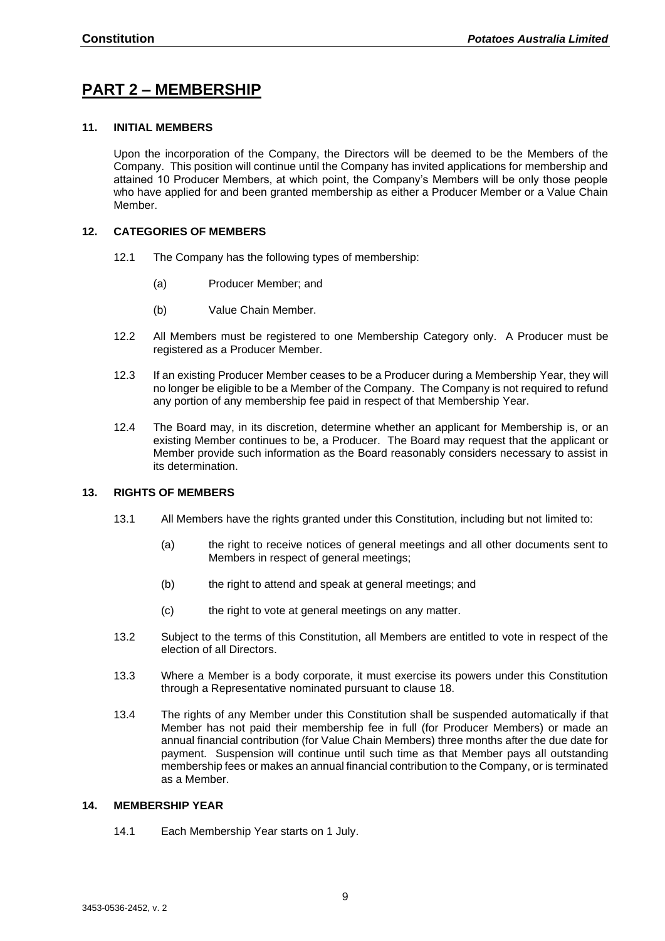## <span id="page-8-0"></span>**PART 2 – MEMBERSHIP**

#### <span id="page-8-3"></span>**11. INITIAL MEMBERS**

Upon the incorporation of the Company, the Directors will be deemed to be the Members of the Company. This position will continue until the Company has invited applications for membership and attained 10 Producer Members, at which point, the Company's Members will be only those people who have applied for and been granted membership as either a Producer Member or a Value Chain Member.

#### **12. CATEGORIES OF MEMBERS**

- 12.1 The Company has the following types of membership:
	- (a) Producer Member; and
	- (b) Value Chain Member.
- 12.2 All Members must be registered to one Membership Category only. A Producer must be registered as a Producer Member.
- 12.3 If an existing Producer Member ceases to be a Producer during a Membership Year, they will no longer be eligible to be a Member of the Company. The Company is not required to refund any portion of any membership fee paid in respect of that Membership Year.
- 12.4 The Board may, in its discretion, determine whether an applicant for Membership is, or an existing Member continues to be, a Producer. The Board may request that the applicant or Member provide such information as the Board reasonably considers necessary to assist in its determination.

#### <span id="page-8-1"></span>**13. RIGHTS OF MEMBERS**

- 13.1 All Members have the rights granted under this Constitution, including but not limited to:
	- (a) the right to receive notices of general meetings and all other documents sent to Members in respect of general meetings:
	- (b) the right to attend and speak at general meetings; and
	- (c) the right to vote at general meetings on any matter.
- 13.2 Subject to the terms of this Constitution, all Members are entitled to vote in respect of the election of all Directors.
- 13.3 Where a Member is a body corporate, it must exercise its powers under this Constitution through a Representative nominated pursuant to clause [18.](#page-10-1)
- 13.4 The rights of any Member under this Constitution shall be suspended automatically if that Member has not paid their membership fee in full (for Producer Members) or made an annual financial contribution (for Value Chain Members) three months after the due date for payment. Suspension will continue until such time as that Member pays all outstanding membership fees or makes an annual financial contribution to the Company, or is terminated as a Member.

#### <span id="page-8-2"></span>**14. MEMBERSHIP YEAR**

14.1 Each Membership Year starts on 1 July.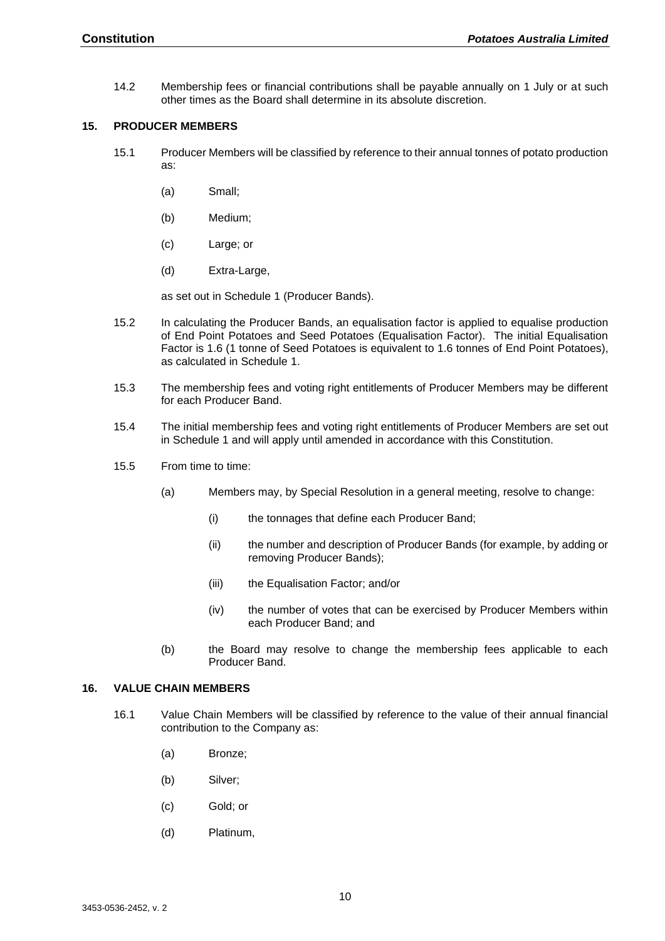14.2 Membership fees or financial contributions shall be payable annually on 1 July or at such other times as the Board shall determine in its absolute discretion.

#### <span id="page-9-0"></span>**15. PRODUCER MEMBERS**

- 15.1 Producer Members will be classified by reference to their annual tonnes of potato production as:
	- (a) Small;
	- (b) Medium;
	- (c) Large; or
	- (d) Extra-Large,

as set out in Schedule 1 (Producer Bands).

- 15.2 In calculating the Producer Bands, an equalisation factor is applied to equalise production of End Point Potatoes and Seed Potatoes (Equalisation Factor). The initial Equalisation Factor is 1.6 (1 tonne of Seed Potatoes is equivalent to 1.6 tonnes of End Point Potatoes), as calculated in Schedule 1.
- 15.3 The membership fees and voting right entitlements of Producer Members may be different for each Producer Band.
- 15.4 The initial membership fees and voting right entitlements of Producer Members are set out in Schedule 1 and will apply until amended in accordance with this Constitution.
- 15.5 From time to time:
	- (a) Members may, by Special Resolution in a general meeting, resolve to change:
		- (i) the tonnages that define each Producer Band;
		- (ii) the number and description of Producer Bands (for example, by adding or removing Producer Bands);
		- (iii) the Equalisation Factor; and/or
		- (iv) the number of votes that can be exercised by Producer Members within each Producer Band; and
	- (b) the Board may resolve to change the membership fees applicable to each Producer Band.

#### <span id="page-9-1"></span>**16. VALUE CHAIN MEMBERS**

- 16.1 Value Chain Members will be classified by reference to the value of their annual financial contribution to the Company as:
	- (a) Bronze;
	- (b) Silver;
	- (c) Gold; or
	- (d) Platinum,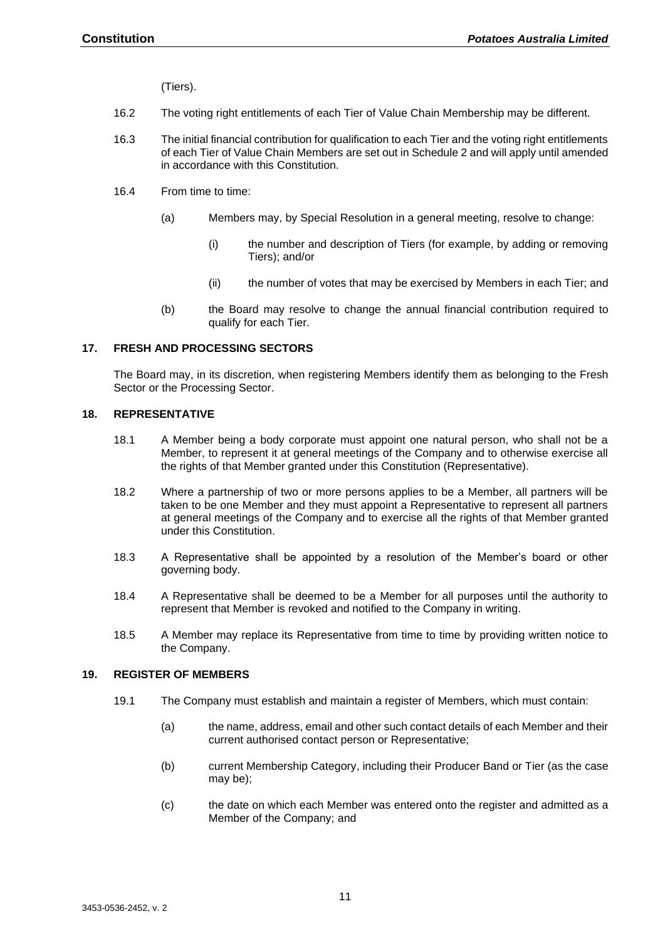(Tiers).

- 16.2 The voting right entitlements of each Tier of Value Chain Membership may be different.
- 16.3 The initial financial contribution for qualification to each Tier and the voting right entitlements of each Tier of Value Chain Members are set out in Schedule 2 and will apply until amended in accordance with this Constitution.
- 16.4 From time to time:
	- (a) Members may, by Special Resolution in a general meeting, resolve to change:
		- (i) the number and description of Tiers (for example, by adding or removing Tiers); and/or
		- (ii) the number of votes that may be exercised by Members in each Tier; and
	- (b) the Board may resolve to change the annual financial contribution required to qualify for each Tier.

#### <span id="page-10-0"></span>**17. FRESH AND PROCESSING SECTORS**

The Board may, in its discretion, when registering Members identify them as belonging to the Fresh Sector or the Processing Sector.

#### <span id="page-10-1"></span>**18. REPRESENTATIVE**

- 18.1 A Member being a body corporate must appoint one natural person, who shall not be a Member, to represent it at general meetings of the Company and to otherwise exercise all the rights of that Member granted under this Constitution (Representative).
- 18.2 Where a partnership of two or more persons applies to be a Member, all partners will be taken to be one Member and they must appoint a Representative to represent all partners at general meetings of the Company and to exercise all the rights of that Member granted under this Constitution.
- 18.3 A Representative shall be appointed by a resolution of the Member's board or other governing body.
- 18.4 A Representative shall be deemed to be a Member for all purposes until the authority to represent that Member is revoked and notified to the Company in writing.
- 18.5 A Member may replace its Representative from time to time by providing written notice to the Company.

#### <span id="page-10-2"></span>**19. REGISTER OF MEMBERS**

- 19.1 The Company must establish and maintain a register of Members, which must contain:
	- (a) the name, address, email and other such contact details of each Member and their current authorised contact person or Representative;
	- (b) current Membership Category, including their Producer Band or Tier (as the case may be);
	- (c) the date on which each Member was entered onto the register and admitted as a Member of the Company; and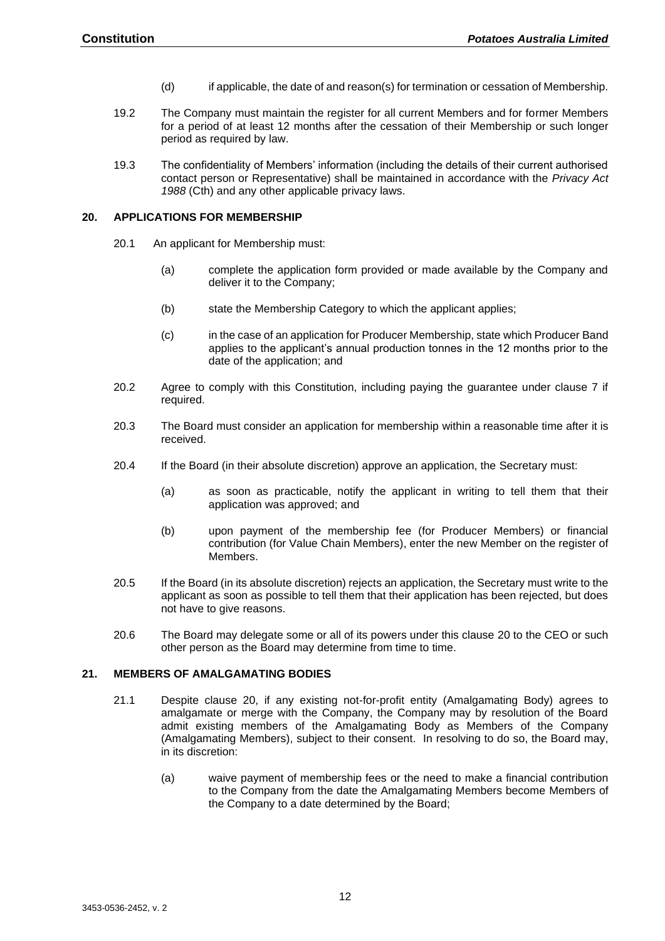- (d) if applicable, the date of and reason(s) for termination or cessation of Membership.
- 19.2 The Company must maintain the register for all current Members and for former Members for a period of at least 12 months after the cessation of their Membership or such longer period as required by law.
- 19.3 The confidentiality of Members' information (including the details of their current authorised contact person or Representative) shall be maintained in accordance with the *Privacy Act 1988* (Cth) and any other applicable privacy laws.

#### <span id="page-11-0"></span>**20. APPLICATIONS FOR MEMBERSHIP**

- 20.1 An applicant for Membership must:
	- (a) complete the application form provided or made available by the Company and deliver it to the Company;
	- (b) state the Membership Category to which the applicant applies;
	- (c) in the case of an application for Producer Membership, state which Producer Band applies to the applicant's annual production tonnes in the 12 months prior to the date of the application; and
- 20.2 Agree to comply with this Constitution, including paying the guarantee under clause 7 if required.
- 20.3 The Board must consider an application for membership within a reasonable time after it is received.
- 20.4 If the Board (in their absolute discretion) approve an application, the Secretary must:
	- (a) as soon as practicable, notify the applicant in writing to tell them that their application was approved; and
	- (b) upon payment of the membership fee (for Producer Members) or financial contribution (for Value Chain Members), enter the new Member on the register of Members.
- 20.5 If the Board (in its absolute discretion) rejects an application, the Secretary must write to the applicant as soon as possible to tell them that their application has been rejected, but does not have to give reasons.
- 20.6 The Board may delegate some or all of its powers under this clause [20](#page-11-0) to the CEO or such other person as the Board may determine from time to time.

#### <span id="page-11-2"></span><span id="page-11-1"></span>**21. MEMBERS OF AMALGAMATING BODIES**

- 21.1 Despite clause [20,](#page-11-0) if any existing not-for-profit entity (Amalgamating Body) agrees to amalgamate or merge with the Company, the Company may by resolution of the Board admit existing members of the Amalgamating Body as Members of the Company (Amalgamating Members), subject to their consent. In resolving to do so, the Board may, in its discretion:
	- (a) waive payment of membership fees or the need to make a financial contribution to the Company from the date the Amalgamating Members become Members of the Company to a date determined by the Board;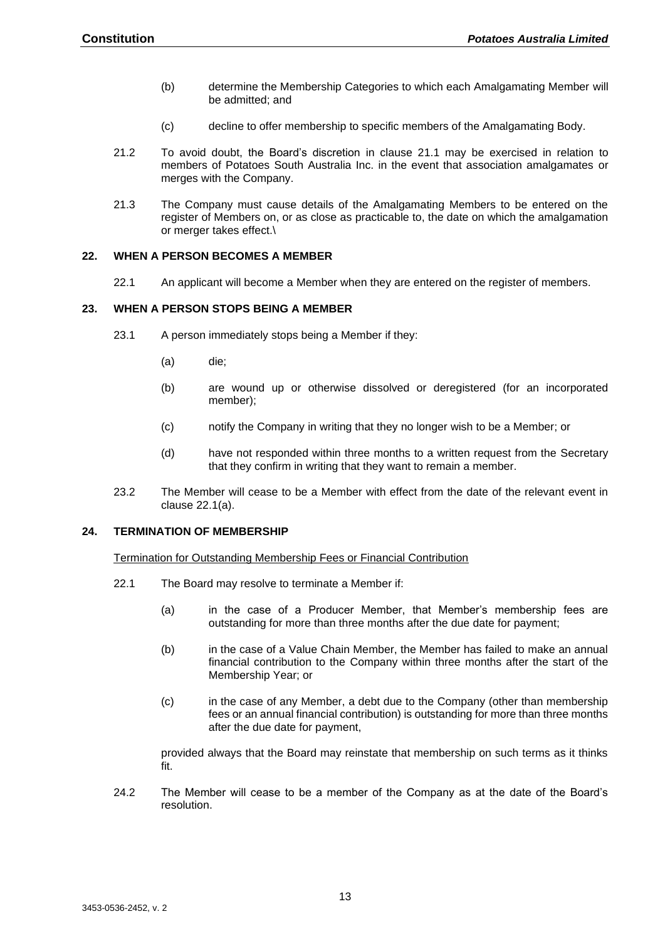- (b) determine the Membership Categories to which each Amalgamating Member will be admitted; and
- (c) decline to offer membership to specific members of the Amalgamating Body.
- 21.2 To avoid doubt, the Board's discretion in clause [21.1](#page-11-2) may be exercised in relation to members of Potatoes South Australia Inc. in the event that association amalgamates or merges with the Company.
- 21.3 The Company must cause details of the Amalgamating Members to be entered on the register of Members on, or as close as practicable to, the date on which the amalgamation or merger takes effect.\

#### <span id="page-12-0"></span>**22. WHEN A PERSON BECOMES A MEMBER**

22.1 An applicant will become a Member when they are entered on the register of members.

#### <span id="page-12-1"></span>**23. WHEN A PERSON STOPS BEING A MEMBER**

- 23.1 A person immediately stops being a Member if they:
	- (a) die;
	- (b) are wound up or otherwise dissolved or deregistered (for an incorporated member);
	- (c) notify the Company in writing that they no longer wish to be a Member; or
	- (d) have not responded within three months to a written request from the Secretary that they confirm in writing that they want to remain a member.
- 23.2 The Member will cease to be a Member with effect from the date of the relevant event in clause 22.1(a).

#### <span id="page-12-3"></span><span id="page-12-2"></span>**24. TERMINATION OF MEMBERSHIP**

#### Termination for Outstanding Membership Fees or Financial Contribution

- 22.1 The Board may resolve to terminate a Member if:
	- (a) in the case of a Producer Member, that Member's membership fees are outstanding for more than three months after the due date for payment;
	- (b) in the case of a Value Chain Member, the Member has failed to make an annual financial contribution to the Company within three months after the start of the Membership Year; or
	- (c) in the case of any Member, a debt due to the Company (other than membership fees or an annual financial contribution) is outstanding for more than three months after the due date for payment,

provided always that the Board may reinstate that membership on such terms as it thinks fit.

24.2 The Member will cease to be a member of the Company as at the date of the Board's resolution.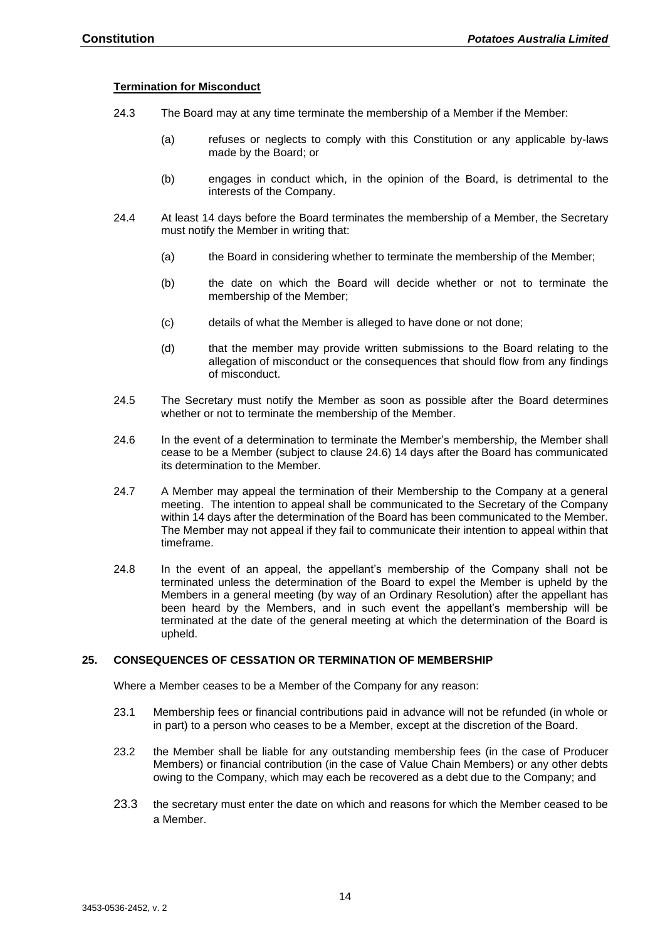#### <span id="page-13-0"></span>**Termination for Misconduct**

- 24.3 The Board may at any time terminate the membership of a Member if the Member:
	- (a) refuses or neglects to comply with this Constitution or any applicable by-laws made by the Board; or
	- (b) engages in conduct which, in the opinion of the Board, is detrimental to the interests of the Company.
- 24.4 At least 14 days before the Board terminates the membership of a Member, the Secretary must notify the Member in writing that:
	- (a) the Board in considering whether to terminate the membership of the Member;
	- (b) the date on which the Board will decide whether or not to terminate the membership of the Member;
	- (c) details of what the Member is alleged to have done or not done;
	- (d) that the member may provide written submissions to the Board relating to the allegation of misconduct or the consequences that should flow from any findings of misconduct.
- 24.5 The Secretary must notify the Member as soon as possible after the Board determines whether or not to terminate the membership of the Member.
- 24.6 In the event of a determination to terminate the Member's membership, the Member shall cease to be a Member (subject to clause 24.6) 14 days after the Board has communicated its determination to the Member.
- 24.7 A Member may appeal the termination of their Membership to the Company at a general meeting. The intention to appeal shall be communicated to the Secretary of the Company within 14 days after the determination of the Board has been communicated to the Member. The Member may not appeal if they fail to communicate their intention to appeal within that timeframe.
- 24.8 In the event of an appeal, the appellant's membership of the Company shall not be terminated unless the determination of the Board to expel the Member is upheld by the Members in a general meeting (by way of an Ordinary Resolution) after the appellant has been heard by the Members, and in such event the appellant's membership will be terminated at the date of the general meeting at which the determination of the Board is upheld.

#### <span id="page-13-1"></span>**25. CONSEQUENCES OF CESSATION OR TERMINATION OF MEMBERSHIP**

Where a Member ceases to be a Member of the Company for any reason:

- 23.1 Membership fees or financial contributions paid in advance will not be refunded (in whole or in part) to a person who ceases to be a Member, except at the discretion of the Board.
- 23.2 the Member shall be liable for any outstanding membership fees (in the case of Producer Members) or financial contribution (in the case of Value Chain Members) or any other debts owing to the Company, which may each be recovered as a debt due to the Company; and
- 23.3 the secretary must enter the date on which and reasons for which the Member ceased to be a Member.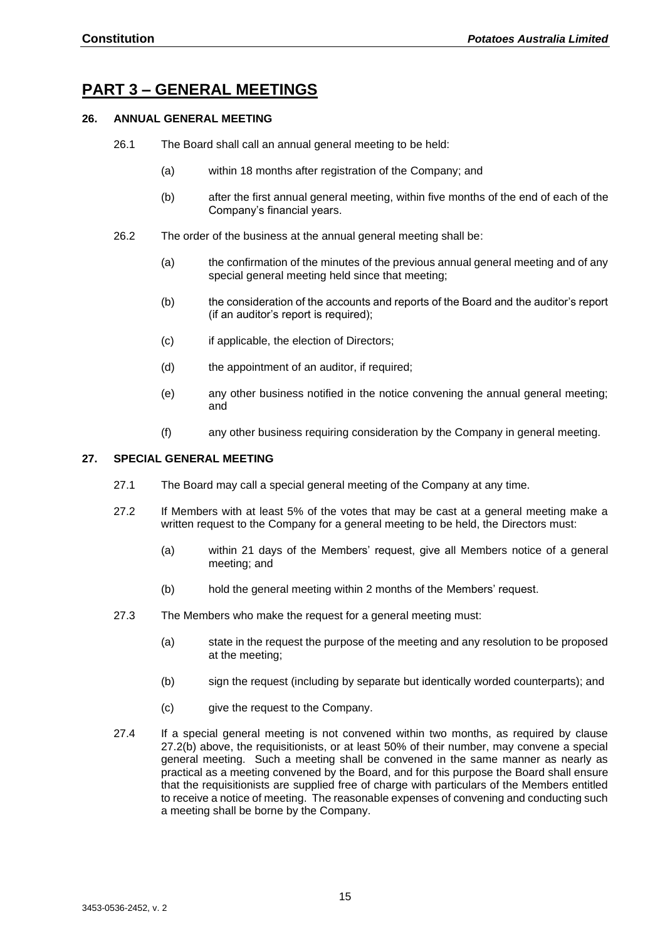## <span id="page-14-0"></span>**PART 3 – GENERAL MEETINGS**

#### <span id="page-14-1"></span>**26. ANNUAL GENERAL MEETING**

- 26.1 The Board shall call an annual general meeting to be held:
	- (a) within 18 months after registration of the Company; and
	- (b) after the first annual general meeting, within five months of the end of each of the Company's financial years.
- 26.2 The order of the business at the annual general meeting shall be:
	- (a) the confirmation of the minutes of the previous annual general meeting and of any special general meeting held since that meeting;
	- (b) the consideration of the accounts and reports of the Board and the auditor's report (if an auditor's report is required);
	- (c) if applicable, the election of Directors;
	- (d) the appointment of an auditor, if required;
	- (e) any other business notified in the notice convening the annual general meeting; and
	- (f) any other business requiring consideration by the Company in general meeting.

#### <span id="page-14-2"></span>**27. SPECIAL GENERAL MEETING**

- 27.1 The Board may call a special general meeting of the Company at any time.
- 27.2 If Members with at least 5% of the votes that may be cast at a general meeting make a written request to the Company for a general meeting to be held, the Directors must:
	- (a) within 21 days of the Members' request, give all Members notice of a general meeting; and
	- (b) hold the general meeting within 2 months of the Members' request.
- <span id="page-14-3"></span>27.3 The Members who make the request for a general meeting must:
	- (a) state in the request the purpose of the meeting and any resolution to be proposed at the meeting;
	- (b) sign the request (including by separate but identically worded counterparts); and
	- (c) give the request to the Company.
- 27.4 If a special general meeting is not convened within two months, as required by clause [27.2\(b\)](#page-14-3) above, the requisitionists, or at least 50% of their number, may convene a special general meeting. Such a meeting shall be convened in the same manner as nearly as practical as a meeting convened by the Board, and for this purpose the Board shall ensure that the requisitionists are supplied free of charge with particulars of the Members entitled to receive a notice of meeting. The reasonable expenses of convening and conducting such a meeting shall be borne by the Company.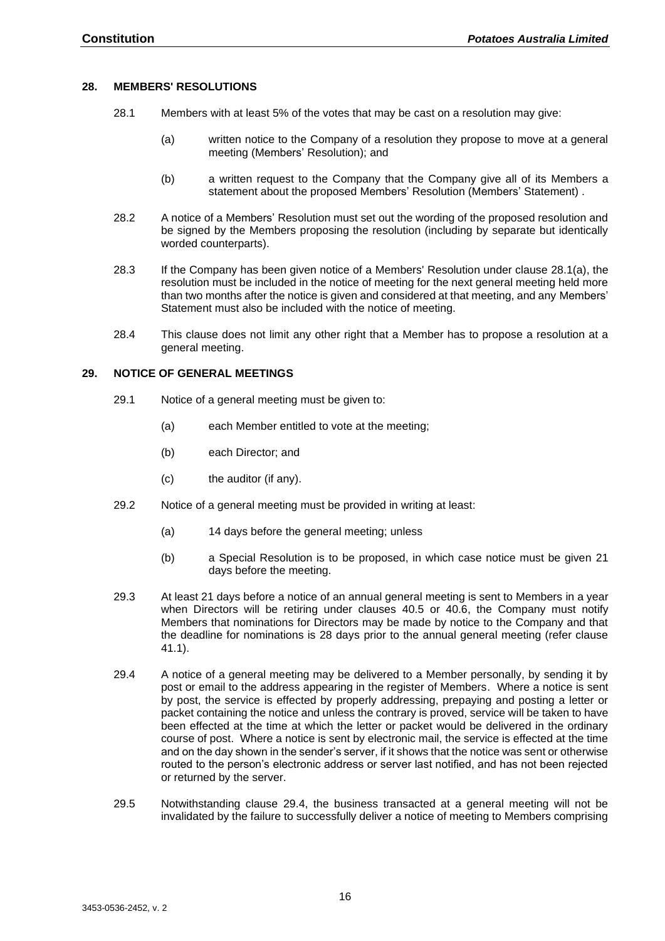#### <span id="page-15-0"></span>**28. MEMBERS' RESOLUTIONS**

- <span id="page-15-3"></span>28.1 Members with at least 5% of the votes that may be cast on a resolution may give:
	- (a) written notice to the Company of a resolution they propose to move at a general meeting (Members' Resolution); and
	- (b) a written request to the Company that the Company give all of its Members a statement about the proposed Members' Resolution (Members' Statement) .
- 28.2 A notice of a Members' Resolution must set out the wording of the proposed resolution and be signed by the Members proposing the resolution (including by separate but identically worded counterparts).
- 28.3 If the Company has been given notice of a Members' Resolution under clause [28.1\(a\),](#page-15-3) the resolution must be included in the notice of meeting for the next general meeting held more than two months after the notice is given and considered at that meeting, and any Members' Statement must also be included with the notice of meeting.
- 28.4 This clause does not limit any other right that a Member has to propose a resolution at a general meeting.

#### <span id="page-15-1"></span>**29. NOTICE OF GENERAL MEETINGS**

- 29.1 Notice of a general meeting must be given to:
	- (a) each Member entitled to vote at the meeting;
	- (b) each Director; and
	- (c) the auditor (if any).
- 29.2 Notice of a general meeting must be provided in writing at least:
	- (a) 14 days before the general meeting; unless
	- (b) a Special Resolution is to be proposed, in which case notice must be given 21 days before the meeting.
- <span id="page-15-5"></span><span id="page-15-2"></span>29.3 At least 21 days before a notice of an annual general meeting is sent to Members in a year when Directors will be retiring under clauses [40.5](#page-19-2) or [40.6,](#page-19-3) the Company must notify Members that nominations for Directors may be made by notice to the Company and that the deadline for nominations is 28 days prior to the annual general meeting (refer clause [41.1\)](#page-20-2).
- <span id="page-15-4"></span>29.4 A notice of a general meeting may be delivered to a Member personally, by sending it by post or email to the address appearing in the register of Members. Where a notice is sent by post, the service is effected by properly addressing, prepaying and posting a letter or packet containing the notice and unless the contrary is proved, service will be taken to have been effected at the time at which the letter or packet would be delivered in the ordinary course of post. Where a notice is sent by electronic mail, the service is effected at the time and on the day shown in the sender's server, if it shows that the notice was sent or otherwise routed to the person's electronic address or server last notified, and has not been rejected or returned by the server.
- 29.5 Notwithstanding clause [29.4,](#page-15-4) the business transacted at a general meeting will not be invalidated by the failure to successfully deliver a notice of meeting to Members comprising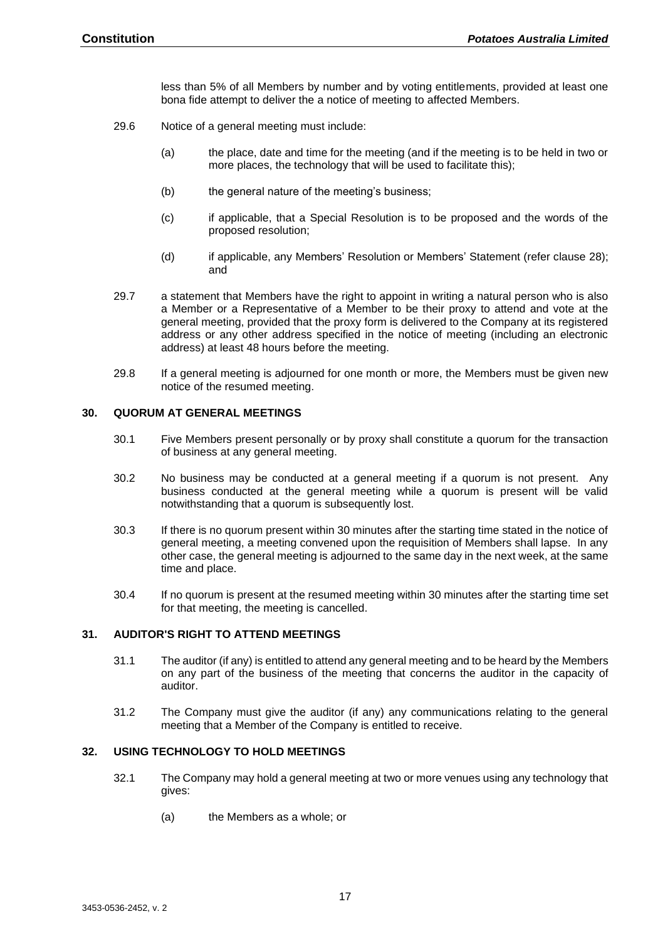less than 5% of all Members by number and by voting entitlements, provided at least one bona fide attempt to deliver the a notice of meeting to affected Members.

- 29.6 Notice of a general meeting must include:
	- (a) the place, date and time for the meeting (and if the meeting is to be held in two or more places, the technology that will be used to facilitate this);
	- (b) the general nature of the meeting's business:
	- (c) if applicable, that a Special Resolution is to be proposed and the words of the proposed resolution;
	- (d) if applicable, any Members' Resolution or Members' Statement (refer clause [28\)](#page-15-0); and
- 29.7 a statement that Members have the right to appoint in writing a natural person who is also a Member or a Representative of a Member to be their proxy to attend and vote at the general meeting, provided that the proxy form is delivered to the Company at its registered address or any other address specified in the notice of meeting (including an electronic address) at least 48 hours before the meeting.
- 29.8 If a general meeting is adjourned for one month or more, the Members must be given new notice of the resumed meeting.

#### <span id="page-16-0"></span>**30. QUORUM AT GENERAL MEETINGS**

- 30.1 Five Members present personally or by proxy shall constitute a quorum for the transaction of business at any general meeting.
- 30.2 No business may be conducted at a general meeting if a quorum is not present. Any business conducted at the general meeting while a quorum is present will be valid notwithstanding that a quorum is subsequently lost.
- 30.3 If there is no quorum present within 30 minutes after the starting time stated in the notice of general meeting, a meeting convened upon the requisition of Members shall lapse. In any other case, the general meeting is adjourned to the same day in the next week, at the same time and place.
- 30.4 If no quorum is present at the resumed meeting within 30 minutes after the starting time set for that meeting, the meeting is cancelled.

#### <span id="page-16-1"></span>**31. AUDITOR'S RIGHT TO ATTEND MEETINGS**

- 31.1 The auditor (if any) is entitled to attend any general meeting and to be heard by the Members on any part of the business of the meeting that concerns the auditor in the capacity of auditor.
- 31.2 The Company must give the auditor (if any) any communications relating to the general meeting that a Member of the Company is entitled to receive.

#### <span id="page-16-2"></span>**32. USING TECHNOLOGY TO HOLD MEETINGS**

- 32.1 The Company may hold a general meeting at two or more venues using any technology that gives:
	- (a) the Members as a whole; or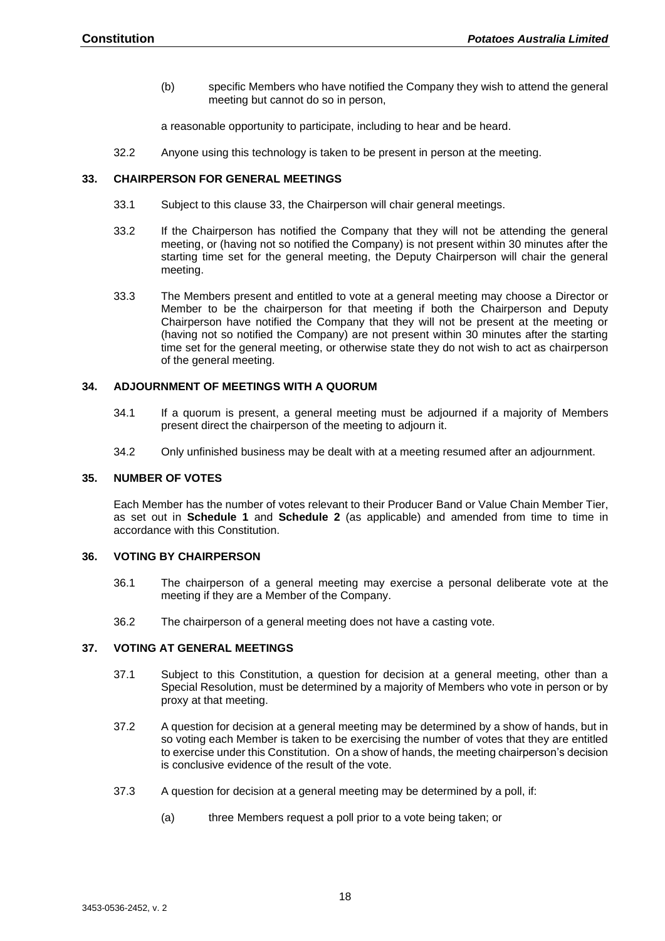(b) specific Members who have notified the Company they wish to attend the general meeting but cannot do so in person,

a reasonable opportunity to participate, including to hear and be heard.

32.2 Anyone using this technology is taken to be present in person at the meeting.

#### <span id="page-17-0"></span>**33. CHAIRPERSON FOR GENERAL MEETINGS**

- 33.1 Subject to this clause [33,](#page-17-0) the Chairperson will chair general meetings.
- 33.2 If the Chairperson has notified the Company that they will not be attending the general meeting, or (having not so notified the Company) is not present within 30 minutes after the starting time set for the general meeting, the Deputy Chairperson will chair the general meeting.
- 33.3 The Members present and entitled to vote at a general meeting may choose a Director or Member to be the chairperson for that meeting if both the Chairperson and Deputy Chairperson have notified the Company that they will not be present at the meeting or (having not so notified the Company) are not present within 30 minutes after the starting time set for the general meeting, or otherwise state they do not wish to act as chairperson of the general meeting.

#### <span id="page-17-1"></span>**34. ADJOURNMENT OF MEETINGS WITH A QUORUM**

- 34.1 If a quorum is present, a general meeting must be adjourned if a majority of Members present direct the chairperson of the meeting to adjourn it.
- 34.2 Only unfinished business may be dealt with at a meeting resumed after an adjournment.

#### <span id="page-17-2"></span>**35. NUMBER OF VOTES**

Each Member has the number of votes relevant to their Producer Band or Value Chain Member Tier, as set out in **Schedule 1** and **Schedule 2** (as applicable) and amended from time to time in accordance with this Constitution.

#### <span id="page-17-3"></span>**36. VOTING BY CHAIRPERSON**

- 36.1 The chairperson of a general meeting may exercise a personal deliberate vote at the meeting if they are a Member of the Company.
- 36.2 The chairperson of a general meeting does not have a casting vote.

#### <span id="page-17-4"></span>**37. VOTING AT GENERAL MEETINGS**

- 37.1 Subject to this Constitution, a question for decision at a general meeting, other than a Special Resolution, must be determined by a majority of Members who vote in person or by proxy at that meeting.
- 37.2 A question for decision at a general meeting may be determined by a show of hands, but in so voting each Member is taken to be exercising the number of votes that they are entitled to exercise under this Constitution. On a show of hands, the meeting chairperson's decision is conclusive evidence of the result of the vote.
- 37.3 A question for decision at a general meeting may be determined by a poll, if:
	- (a) three Members request a poll prior to a vote being taken; or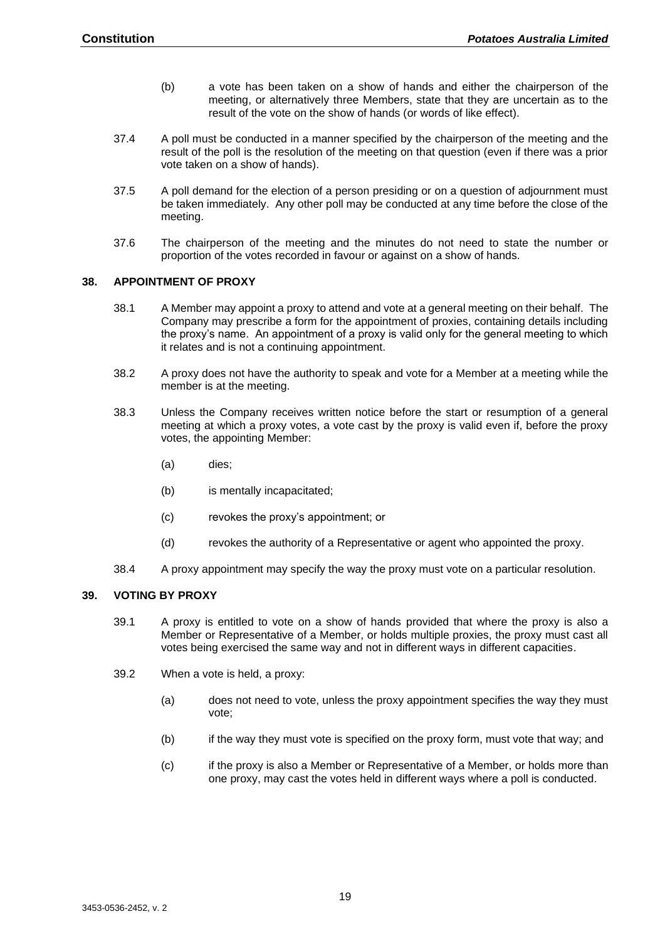- (b) a vote has been taken on a show of hands and either the chairperson of the meeting, or alternatively three Members, state that they are uncertain as to the result of the vote on the show of hands (or words of like effect).
- 37.4 A poll must be conducted in a manner specified by the chairperson of the meeting and the result of the poll is the resolution of the meeting on that question (even if there was a prior vote taken on a show of hands).
- 37.5 A poll demand for the election of a person presiding or on a question of adjournment must be taken immediately. Any other poll may be conducted at any time before the close of the meeting.
- 37.6 The chairperson of the meeting and the minutes do not need to state the number or proportion of the votes recorded in favour or against on a show of hands.

#### <span id="page-18-0"></span>**38. APPOINTMENT OF PROXY**

- 38.1 A Member may appoint a proxy to attend and vote at a general meeting on their behalf. The Company may prescribe a form for the appointment of proxies, containing details including the proxy's name. An appointment of a proxy is valid only for the general meeting to which it relates and is not a continuing appointment.
- 38.2 A proxy does not have the authority to speak and vote for a Member at a meeting while the member is at the meeting.
- 38.3 Unless the Company receives written notice before the start or resumption of a general meeting at which a proxy votes, a vote cast by the proxy is valid even if, before the proxy votes, the appointing Member:
	- (a) dies;
	- (b) is mentally incapacitated;
	- (c) revokes the proxy's appointment; or
	- (d) revokes the authority of a Representative or agent who appointed the proxy.
- 38.4 A proxy appointment may specify the way the proxy must vote on a particular resolution.

#### <span id="page-18-1"></span>**39. VOTING BY PROXY**

- 39.1 A proxy is entitled to vote on a show of hands provided that where the proxy is also a Member or Representative of a Member, or holds multiple proxies, the proxy must cast all votes being exercised the same way and not in different ways in different capacities.
- 39.2 When a vote is held, a proxy:
	- (a) does not need to vote, unless the proxy appointment specifies the way they must vote;
	- (b) if the way they must vote is specified on the proxy form, must vote that way; and
	- (c) if the proxy is also a Member or Representative of a Member, or holds more than one proxy, may cast the votes held in different ways where a poll is conducted.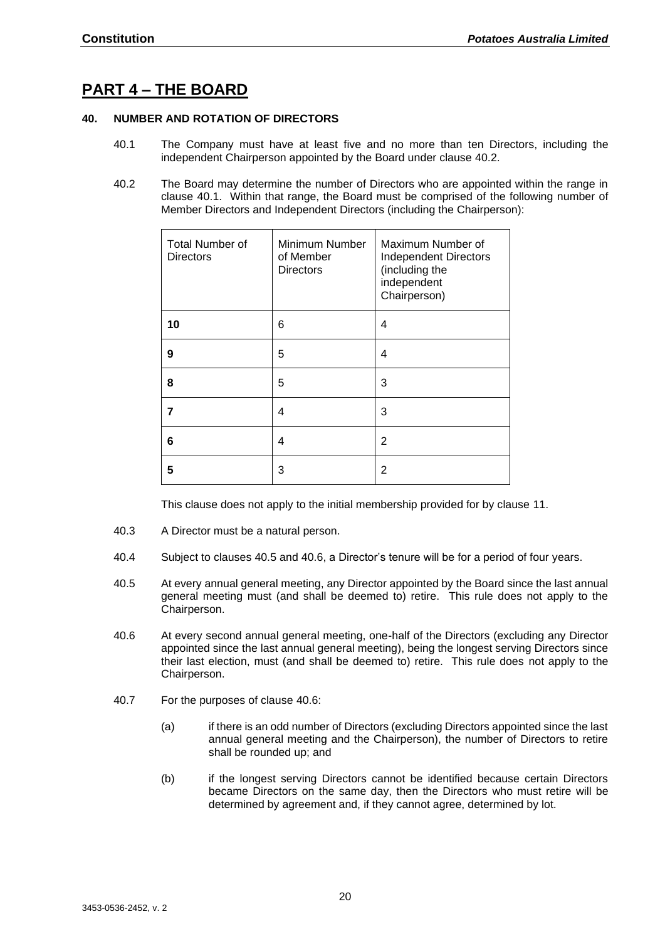## <span id="page-19-0"></span>**PART 4 – THE BOARD**

#### <span id="page-19-4"></span><span id="page-19-1"></span>**40. NUMBER AND ROTATION OF DIRECTORS**

- 40.1 The Company must have at least five and no more than ten Directors, including the independent Chairperson appointed by the Board under clause 40.2.
- <span id="page-19-6"></span>40.2 The Board may determine the number of Directors who are appointed within the range in clause [40.1.](#page-19-4) Within that range, the Board must be comprised of the following number of Member Directors and Independent Directors (including the Chairperson):

| <b>Total Number of</b><br><b>Directors</b> | Minimum Number<br>of Member<br><b>Directors</b> | Maximum Number of<br><b>Independent Directors</b><br>(including the<br>independent<br>Chairperson) |
|--------------------------------------------|-------------------------------------------------|----------------------------------------------------------------------------------------------------|
| 10                                         | 6                                               | 4                                                                                                  |
| 9                                          | 5                                               | 4                                                                                                  |
| 8                                          | 5                                               | 3                                                                                                  |
| 7                                          | 4                                               | 3                                                                                                  |
| 6                                          | 4                                               | 2                                                                                                  |
| 5                                          | 3                                               | 2                                                                                                  |

<span id="page-19-5"></span>This clause does not apply to the initial membership provided for by clause [11.](#page-8-3)

- 40.3 A Director must be a natural person.
- 40.4 Subject to clauses [40.5](#page-19-2) and [40.6,](#page-19-3) a Director's tenure will be for a period of four years.
- <span id="page-19-2"></span>40.5 At every annual general meeting, any Director appointed by the Board since the last annual general meeting must (and shall be deemed to) retire. This rule does not apply to the Chairperson.
- <span id="page-19-3"></span>40.6 At every second annual general meeting, one-half of the Directors (excluding any Director appointed since the last annual general meeting), being the longest serving Directors since their last election, must (and shall be deemed to) retire. This rule does not apply to the Chairperson.
- 40.7 For the purposes of clause [40.6:](#page-19-5)
	- (a) if there is an odd number of Directors (excluding Directors appointed since the last annual general meeting and the Chairperson), the number of Directors to retire shall be rounded up; and
	- (b) if the longest serving Directors cannot be identified because certain Directors became Directors on the same day, then the Directors who must retire will be determined by agreement and, if they cannot agree, determined by lot.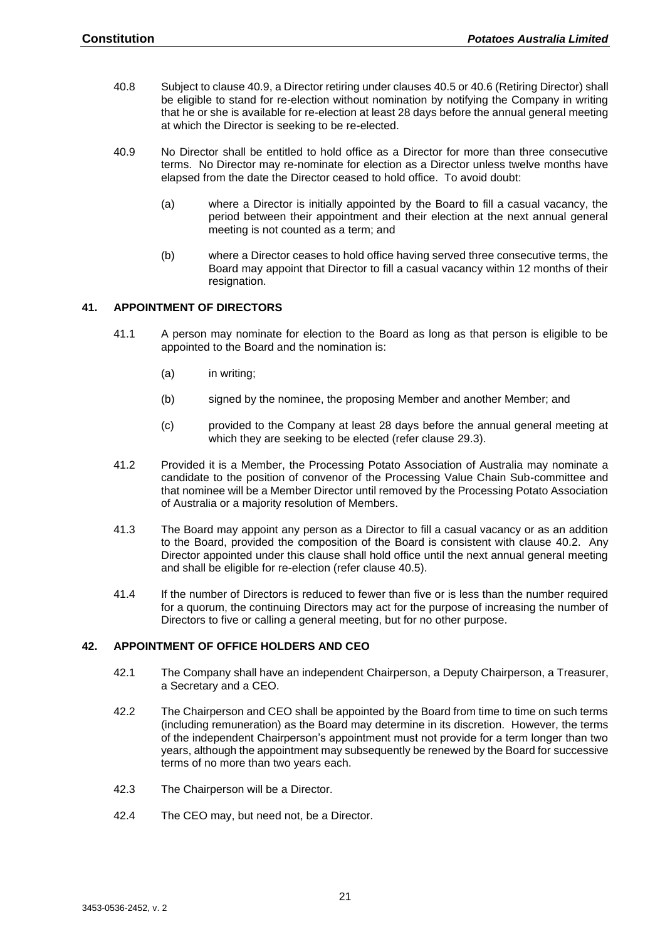- 40.8 Subject to clause [40.9,](#page-20-3) a Director retiring under clause[s 40.5](#page-19-2) o[r 40.6](#page-19-3) (Retiring Director) shall be eligible to stand for re-election without nomination by notifying the Company in writing that he or she is available for re-election at least 28 days before the annual general meeting at which the Director is seeking to be re-elected.
- <span id="page-20-3"></span>40.9 No Director shall be entitled to hold office as a Director for more than three consecutive terms. No Director may re-nominate for election as a Director unless twelve months have elapsed from the date the Director ceased to hold office. To avoid doubt:
	- (a) where a Director is initially appointed by the Board to fill a casual vacancy, the period between their appointment and their election at the next annual general meeting is not counted as a term; and
	- (b) where a Director ceases to hold office having served three consecutive terms, the Board may appoint that Director to fill a casual vacancy within 12 months of their resignation.

#### <span id="page-20-2"></span><span id="page-20-0"></span>**41. APPOINTMENT OF DIRECTORS**

- 41.1 A person may nominate for election to the Board as long as that person is eligible to be appointed to the Board and the nomination is:
	- (a) in writing;
	- (b) signed by the nominee, the proposing Member and another Member; and
	- (c) provided to the Company at least 28 days before the annual general meeting at which they are seeking to be elected (refer clause [29.3\)](#page-15-5).
- 41.2 Provided it is a Member, the Processing Potato Association of Australia may nominate a candidate to the position of convenor of the Processing Value Chain Sub-committee and that nominee will be a Member Director until removed by the Processing Potato Association of Australia or a majority resolution of Members.
- 41.3 The Board may appoint any person as a Director to fill a casual vacancy or as an addition to the Board, provided the composition of the Board is consistent with clause [40.2.](#page-19-6) Any Director appointed under this clause shall hold office until the next annual general meeting and shall be eligible for re-election (refer clause [40.5\)](#page-19-2).
- 41.4 If the number of Directors is reduced to fewer than five or is less than the number required for a quorum, the continuing Directors may act for the purpose of increasing the number of Directors to five or calling a general meeting, but for no other purpose.

#### <span id="page-20-1"></span>**42. APPOINTMENT OF OFFICE HOLDERS AND CEO**

- 42.1 The Company shall have an independent Chairperson, a Deputy Chairperson, a Treasurer, a Secretary and a CEO.
- 42.2 The Chairperson and CEO shall be appointed by the Board from time to time on such terms (including remuneration) as the Board may determine in its discretion. However, the terms of the independent Chairperson's appointment must not provide for a term longer than two years, although the appointment may subsequently be renewed by the Board for successive terms of no more than two years each.
- 42.3 The Chairperson will be a Director.
- 42.4 The CEO may, but need not, be a Director.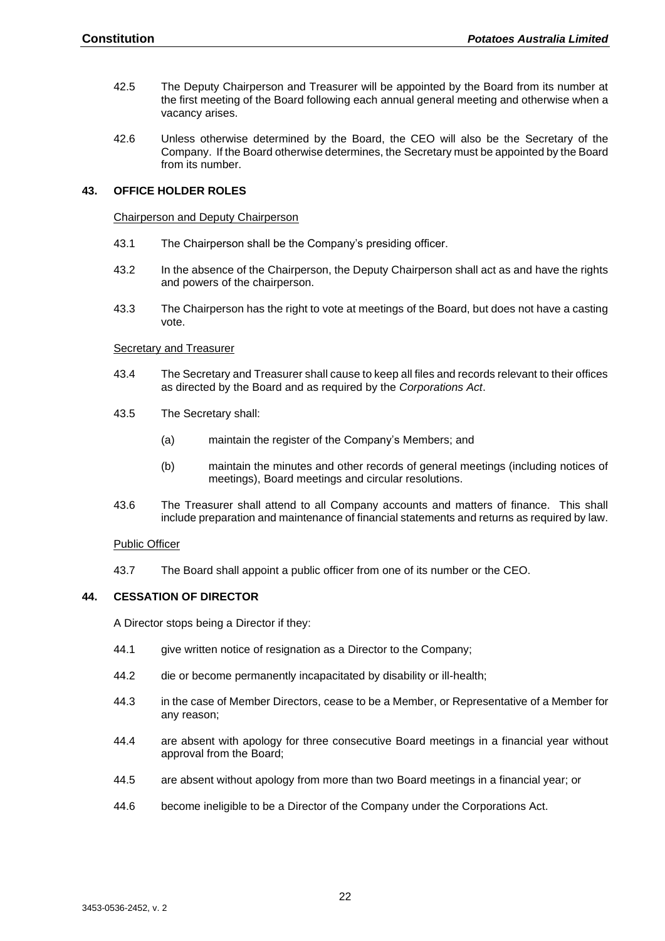- 42.5 The Deputy Chairperson and Treasurer will be appointed by the Board from its number at the first meeting of the Board following each annual general meeting and otherwise when a vacancy arises.
- 42.6 Unless otherwise determined by the Board, the CEO will also be the Secretary of the Company. If the Board otherwise determines, the Secretary must be appointed by the Board from its number.

#### <span id="page-21-1"></span><span id="page-21-0"></span>**43. OFFICE HOLDER ROLES**

#### Chairperson and Deputy Chairperson

- 43.1 The Chairperson shall be the Company's presiding officer.
- 43.2 In the absence of the Chairperson, the Deputy Chairperson shall act as and have the rights and powers of the chairperson.
- 43.3 The Chairperson has the right to vote at meetings of the Board, but does not have a casting vote.

#### <span id="page-21-2"></span>Secretary and Treasurer

- 43.4 The Secretary and Treasurer shall cause to keep all files and records relevant to their offices as directed by the Board and as required by the *Corporations Act*.
- 43.5 The Secretary shall:
	- (a) maintain the register of the Company's Members; and
	- (b) maintain the minutes and other records of general meetings (including notices of meetings), Board meetings and circular resolutions.
- 43.6 The Treasurer shall attend to all Company accounts and matters of finance. This shall include preparation and maintenance of financial statements and returns as required by law.

#### <span id="page-21-3"></span>Public Officer

43.7 The Board shall appoint a public officer from one of its number or the CEO.

#### <span id="page-21-4"></span>**44. CESSATION OF DIRECTOR**

A Director stops being a Director if they:

- 44.1 give written notice of resignation as a Director to the Company;
- 44.2 die or become permanently incapacitated by disability or ill-health;
- 44.3 in the case of Member Directors, cease to be a Member, or Representative of a Member for any reason;
- 44.4 are absent with apology for three consecutive Board meetings in a financial year without approval from the Board;
- 44.5 are absent without apology from more than two Board meetings in a financial year; or
- 44.6 become ineligible to be a Director of the Company under the Corporations Act.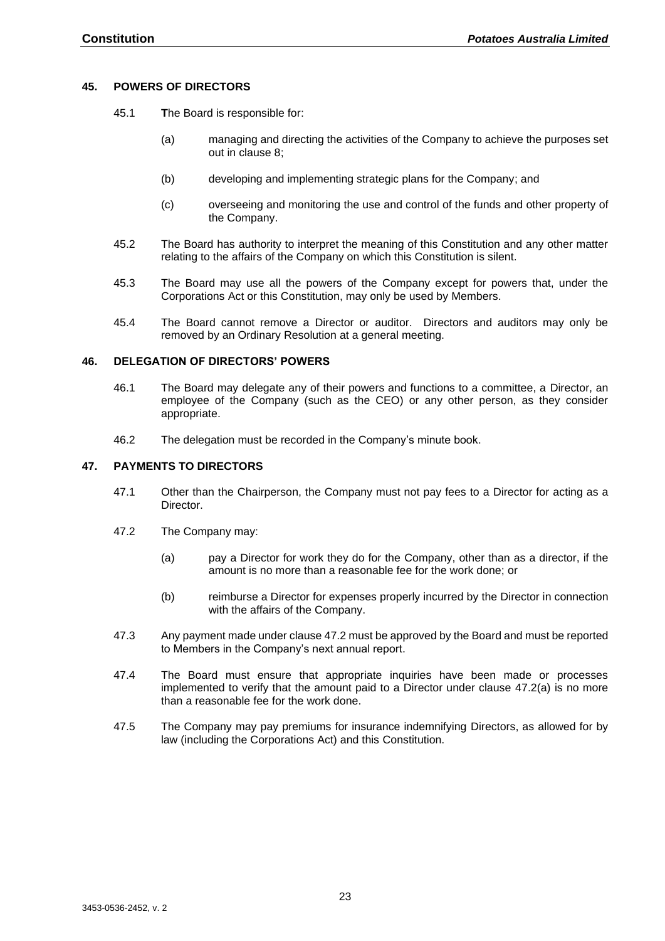#### <span id="page-22-0"></span>**45. POWERS OF DIRECTORS**

- 45.1 **T**he Board is responsible for:
	- (a) managing and directing the activities of the Company to achieve the purposes set out in clause [8;](#page-6-2)
	- (b) developing and implementing strategic plans for the Company; and
	- (c) overseeing and monitoring the use and control of the funds and other property of the Company.
- 45.2 The Board has authority to interpret the meaning of this Constitution and any other matter relating to the affairs of the Company on which this Constitution is silent.
- 45.3 The Board may use all the powers of the Company except for powers that, under the Corporations Act or this Constitution, may only be used by Members.
- 45.4 The Board cannot remove a Director or auditor. Directors and auditors may only be removed by an Ordinary Resolution at a general meeting.

#### <span id="page-22-1"></span>**46. DELEGATION OF DIRECTORS' POWERS**

- 46.1 The Board may delegate any of their powers and functions to a committee, a Director, an employee of the Company (such as the CEO) or any other person, as they consider appropriate.
- 46.2 The delegation must be recorded in the Company's minute book.

#### <span id="page-22-2"></span>**47. PAYMENTS TO DIRECTORS**

- 47.1 Other than the Chairperson, the Company must not pay fees to a Director for acting as a Director.
- <span id="page-22-4"></span><span id="page-22-3"></span>47.2 The Company may:
	- (a) pay a Director for work they do for the Company, other than as a director, if the amount is no more than a reasonable fee for the work done; or
	- (b) reimburse a Director for expenses properly incurred by the Director in connection with the affairs of the Company.
- 47.3 Any payment made under claus[e 47.2](#page-22-3) must be approved by the Board and must be reported to Members in the Company's next annual report.
- 47.4 The Board must ensure that appropriate inquiries have been made or processes implemented to verify that the amount paid to a Director under clause [47.2\(a\)](#page-22-4) is no more than a reasonable fee for the work done.
- 47.5 The Company may pay premiums for insurance indemnifying Directors, as allowed for by law (including the Corporations Act) and this Constitution.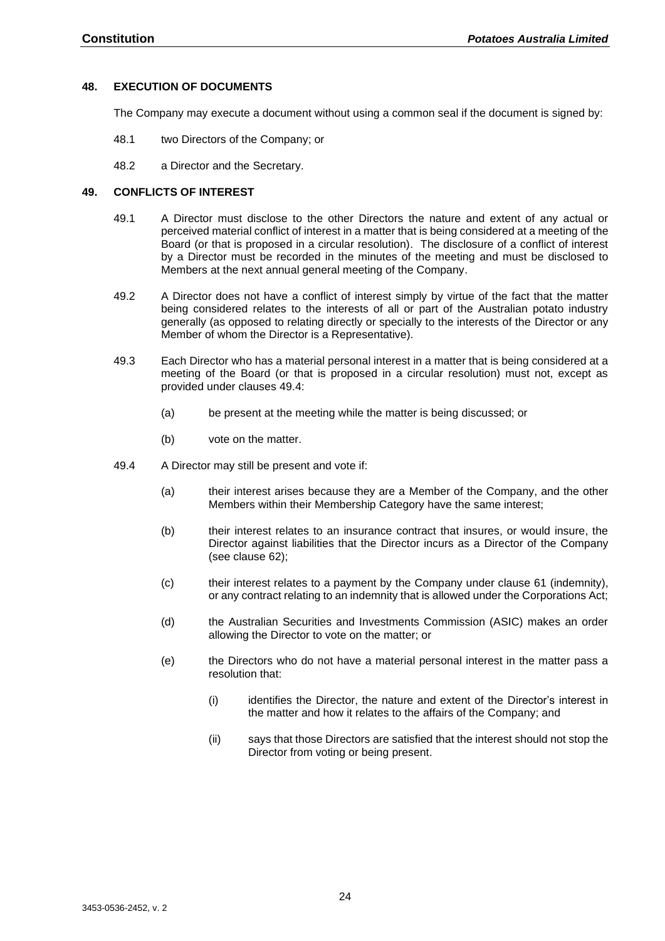#### <span id="page-23-0"></span>**48. EXECUTION OF DOCUMENTS**

The Company may execute a document without using a common seal if the document is signed by:

- 48.1 two Directors of the Company; or
- 48.2 a Director and the Secretary.

#### <span id="page-23-1"></span>**49. CONFLICTS OF INTEREST**

- 49.1 A Director must disclose to the other Directors the nature and extent of any actual or perceived material conflict of interest in a matter that is being considered at a meeting of the Board (or that is proposed in a circular resolution). The disclosure of a conflict of interest by a Director must be recorded in the minutes of the meeting and must be disclosed to Members at the next annual general meeting of the Company.
- 49.2 A Director does not have a conflict of interest simply by virtue of the fact that the matter being considered relates to the interests of all or part of the Australian potato industry generally (as opposed to relating directly or specially to the interests of the Director or any Member of whom the Director is a Representative).
- 49.3 Each Director who has a material personal interest in a matter that is being considered at a meeting of the Board (or that is proposed in a circular resolution) must not, except as provided under clauses [49.4:](#page-23-2)
	- (a) be present at the meeting while the matter is being discussed; or
	- (b) vote on the matter.
- <span id="page-23-2"></span>49.4 A Director may still be present and vote if:
	- (a) their interest arises because they are a Member of the Company, and the other Members within their Membership Category have the same interest;
	- (b) their interest relates to an insurance contract that insures, or would insure, the Director against liabilities that the Director incurs as a Director of the Company (see clause [62\)](#page-30-2);
	- (c) their interest relates to a payment by the Company under clause [61](#page-30-1) (indemnity), or any contract relating to an indemnity that is allowed under the Corporations Act;
	- (d) the Australian Securities and Investments Commission (ASIC) makes an order allowing the Director to vote on the matter; or
	- (e) the Directors who do not have a material personal interest in the matter pass a resolution that:
		- (i) identifies the Director, the nature and extent of the Director's interest in the matter and how it relates to the affairs of the Company; and
		- (ii) says that those Directors are satisfied that the interest should not stop the Director from voting or being present.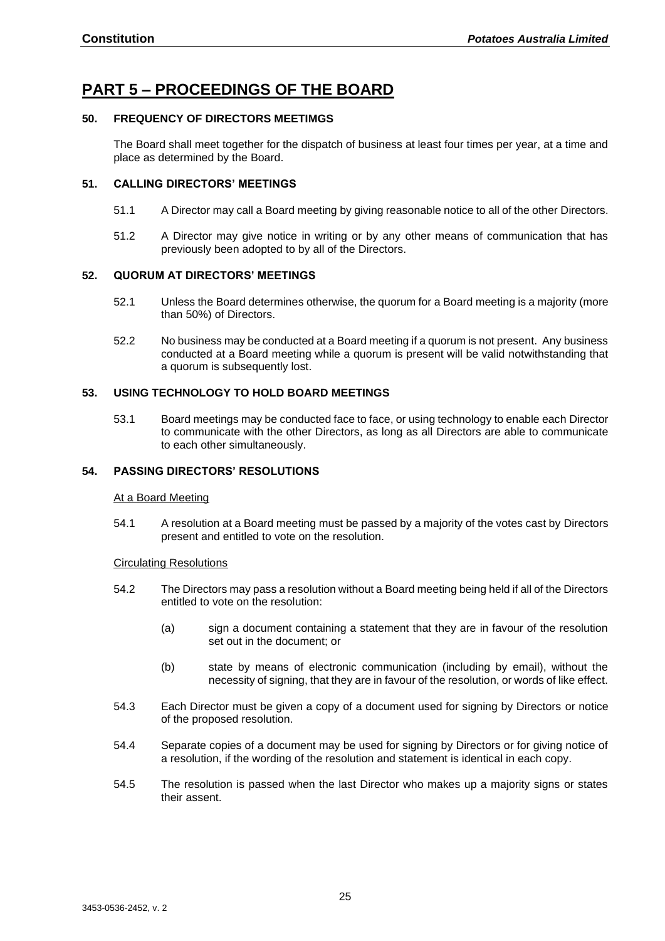## <span id="page-24-0"></span>**PART 5 – PROCEEDINGS OF THE BOARD**

#### <span id="page-24-1"></span>**50. FREQUENCY OF DIRECTORS MEETIMGS**

The Board shall meet together for the dispatch of business at least four times per year, at a time and place as determined by the Board.

#### <span id="page-24-2"></span>**51. CALLING DIRECTORS' MEETINGS**

- 51.1 A Director may call a Board meeting by giving reasonable notice to all of the other Directors.
- 51.2 A Director may give notice in writing or by any other means of communication that has previously been adopted to by all of the Directors.

#### <span id="page-24-3"></span>**52. QUORUM AT DIRECTORS' MEETINGS**

- 52.1 Unless the Board determines otherwise, the quorum for a Board meeting is a majority (more than 50%) of Directors.
- 52.2 No business may be conducted at a Board meeting if a quorum is not present. Any business conducted at a Board meeting while a quorum is present will be valid notwithstanding that a quorum is subsequently lost.

#### <span id="page-24-4"></span>**53. USING TECHNOLOGY TO HOLD BOARD MEETINGS**

53.1 Board meetings may be conducted face to face, or using technology to enable each Director to communicate with the other Directors, as long as all Directors are able to communicate to each other simultaneously.

#### <span id="page-24-6"></span><span id="page-24-5"></span>**54. PASSING DIRECTORS' RESOLUTIONS**

#### At a Board Meeting

54.1 A resolution at a Board meeting must be passed by a majority of the votes cast by Directors present and entitled to vote on the resolution.

#### <span id="page-24-7"></span>Circulating Resolutions

- 54.2 The Directors may pass a resolution without a Board meeting being held if all of the Directors entitled to vote on the resolution:
	- (a) sign a document containing a statement that they are in favour of the resolution set out in the document; or
	- (b) state by means of electronic communication (including by email), without the necessity of signing, that they are in favour of the resolution, or words of like effect.
- 54.3 Each Director must be given a copy of a document used for signing by Directors or notice of the proposed resolution.
- 54.4 Separate copies of a document may be used for signing by Directors or for giving notice of a resolution, if the wording of the resolution and statement is identical in each copy.
- 54.5 The resolution is passed when the last Director who makes up a majority signs or states their assent.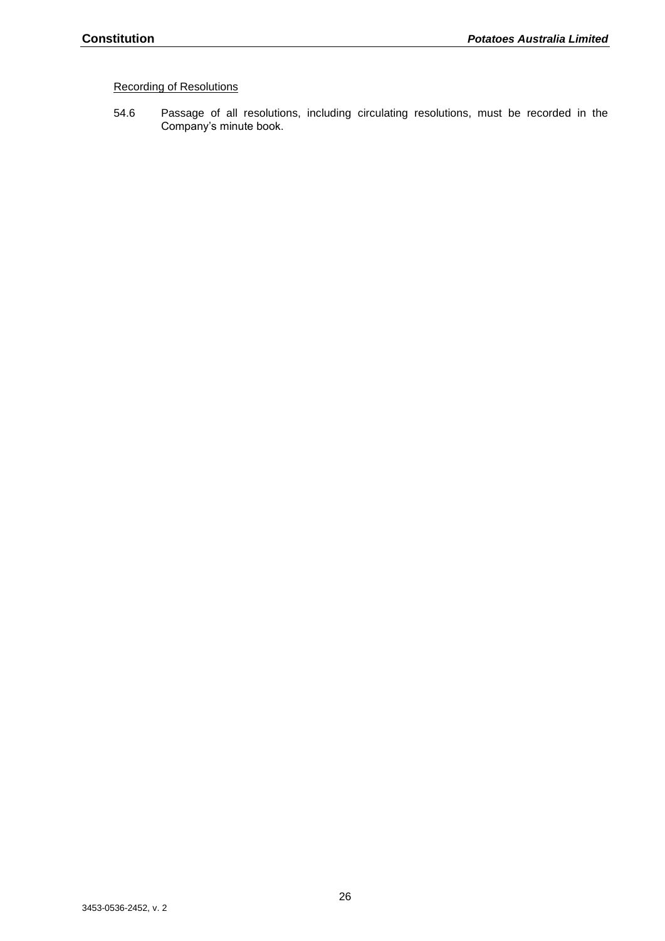## <span id="page-25-0"></span>Recording of Resolutions

54.6 Passage of all resolutions, including circulating resolutions, must be recorded in the Company's minute book.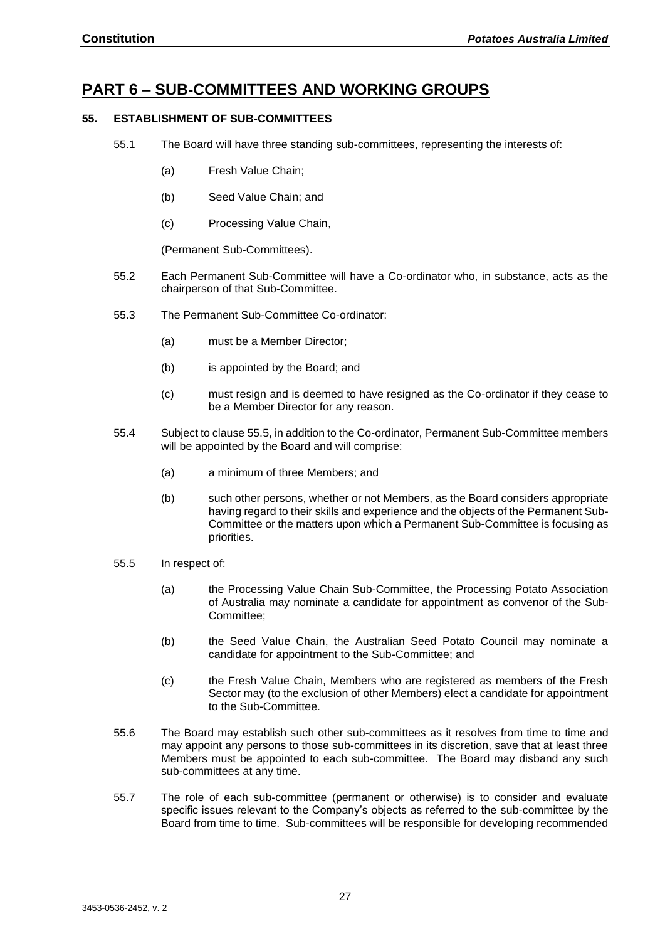## <span id="page-26-0"></span>**PART 6 – SUB-COMMITTEES AND WORKING GROUPS**

#### <span id="page-26-1"></span>**55. ESTABLISHMENT OF SUB-COMMITTEES**

- 55.1 The Board will have three standing sub-committees, representing the interests of:
	- (a) Fresh Value Chain;
	- (b) Seed Value Chain; and
	- (c) Processing Value Chain,

(Permanent Sub-Committees).

- 55.2 Each Permanent Sub-Committee will have a Co-ordinator who, in substance, acts as the chairperson of that Sub-Committee.
- 55.3 The Permanent Sub-Committee Co-ordinator:
	- (a) must be a Member Director;
	- (b) is appointed by the Board; and
	- (c) must resign and is deemed to have resigned as the Co-ordinator if they cease to be a Member Director for any reason.
- 55.4 Subject to claus[e 55.5,](#page-26-2) in addition to the Co-ordinator, Permanent Sub-Committee members will be appointed by the Board and will comprise:
	- (a) a minimum of three Members; and
	- (b) such other persons, whether or not Members, as the Board considers appropriate having regard to their skills and experience and the objects of the Permanent Sub-Committee or the matters upon which a Permanent Sub-Committee is focusing as priorities.
- <span id="page-26-2"></span>55.5 In respect of:
	- (a) the Processing Value Chain Sub-Committee, the Processing Potato Association of Australia may nominate a candidate for appointment as convenor of the Sub-Committee;
	- (b) the Seed Value Chain, the Australian Seed Potato Council may nominate a candidate for appointment to the Sub-Committee; and
	- (c) the Fresh Value Chain, Members who are registered as members of the Fresh Sector may (to the exclusion of other Members) elect a candidate for appointment to the Sub-Committee.
- 55.6 The Board may establish such other sub-committees as it resolves from time to time and may appoint any persons to those sub-committees in its discretion, save that at least three Members must be appointed to each sub-committee. The Board may disband any such sub-committees at any time.
- 55.7 The role of each sub-committee (permanent or otherwise) is to consider and evaluate specific issues relevant to the Company's objects as referred to the sub-committee by the Board from time to time. Sub-committees will be responsible for developing recommended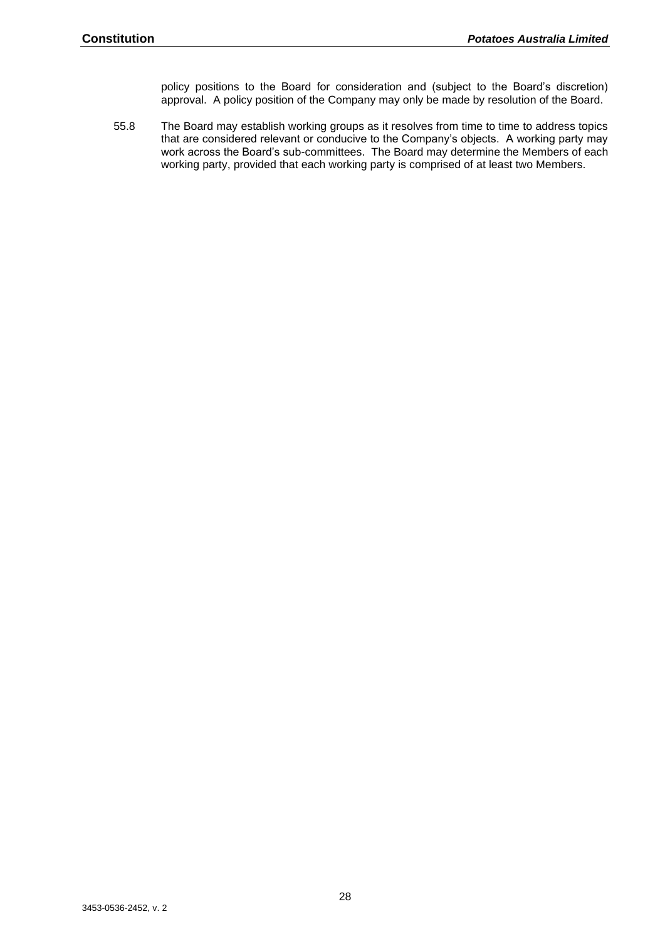policy positions to the Board for consideration and (subject to the Board's discretion) approval. A policy position of the Company may only be made by resolution of the Board.

55.8 The Board may establish working groups as it resolves from time to time to address topics that are considered relevant or conducive to the Company's objects. A working party may work across the Board's sub-committees. The Board may determine the Members of each working party, provided that each working party is comprised of at least two Members.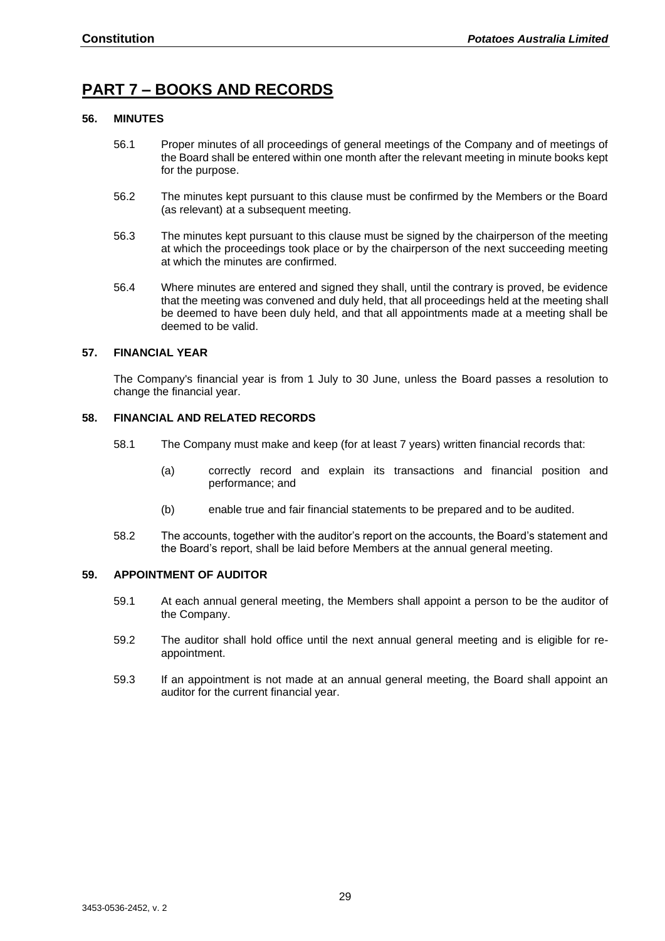## <span id="page-28-0"></span>**PART 7 – BOOKS AND RECORDS**

#### <span id="page-28-1"></span>**56. MINUTES**

- 56.1 Proper minutes of all proceedings of general meetings of the Company and of meetings of the Board shall be entered within one month after the relevant meeting in minute books kept for the purpose.
- 56.2 The minutes kept pursuant to this clause must be confirmed by the Members or the Board (as relevant) at a subsequent meeting.
- 56.3 The minutes kept pursuant to this clause must be signed by the chairperson of the meeting at which the proceedings took place or by the chairperson of the next succeeding meeting at which the minutes are confirmed.
- 56.4 Where minutes are entered and signed they shall, until the contrary is proved, be evidence that the meeting was convened and duly held, that all proceedings held at the meeting shall be deemed to have been duly held, and that all appointments made at a meeting shall be deemed to be valid.

#### <span id="page-28-2"></span>**57. FINANCIAL YEAR**

The Company's financial year is from 1 July to 30 June, unless the Board passes a resolution to change the financial year.

#### <span id="page-28-3"></span>**58. FINANCIAL AND RELATED RECORDS**

- 58.1 The Company must make and keep (for at least 7 years) written financial records that:
	- (a) correctly record and explain its transactions and financial position and performance; and
	- (b) enable true and fair financial statements to be prepared and to be audited.
- 58.2 The accounts, together with the auditor's report on the accounts, the Board's statement and the Board's report, shall be laid before Members at the annual general meeting.

#### <span id="page-28-4"></span>**59. APPOINTMENT OF AUDITOR**

- 59.1 At each annual general meeting, the Members shall appoint a person to be the auditor of the Company.
- 59.2 The auditor shall hold office until the next annual general meeting and is eligible for reappointment.
- 59.3 If an appointment is not made at an annual general meeting, the Board shall appoint an auditor for the current financial year.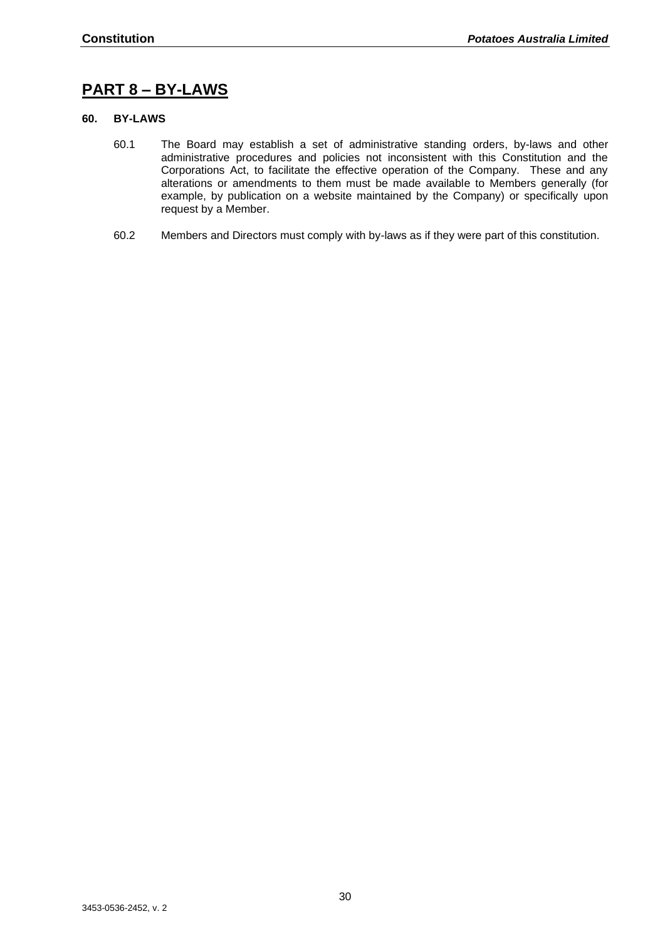## <span id="page-29-0"></span>**PART 8 – BY-LAWS**

#### <span id="page-29-1"></span>**60. BY-LAWS**

- 60.1 The Board may establish a set of administrative standing orders, by-laws and other administrative procedures and policies not inconsistent with this Constitution and the Corporations Act, to facilitate the effective operation of the Company. These and any alterations or amendments to them must be made available to Members generally (for example, by publication on a website maintained by the Company) or specifically upon request by a Member.
- 60.2 Members and Directors must comply with by-laws as if they were part of this constitution.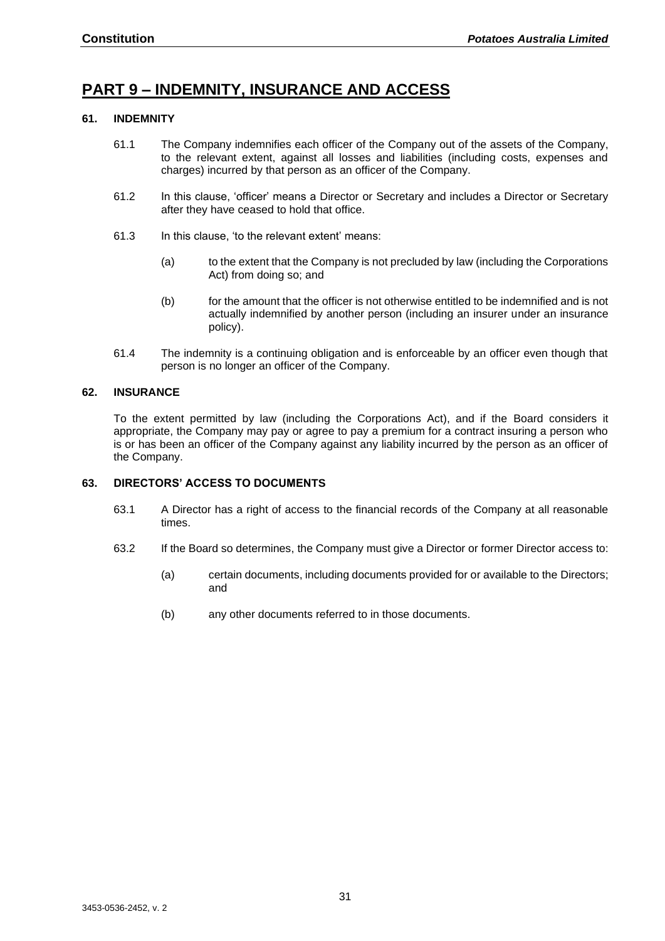## <span id="page-30-0"></span>**PART 9 – INDEMNITY, INSURANCE AND ACCESS**

#### <span id="page-30-1"></span>**61. INDEMNITY**

- 61.1 The Company indemnifies each officer of the Company out of the assets of the Company, to the relevant extent, against all losses and liabilities (including costs, expenses and charges) incurred by that person as an officer of the Company.
- 61.2 In this clause, 'officer' means a Director or Secretary and includes a Director or Secretary after they have ceased to hold that office.
- 61.3 In this clause, 'to the relevant extent' means:
	- (a) to the extent that the Company is not precluded by law (including the Corporations Act) from doing so; and
	- (b) for the amount that the officer is not otherwise entitled to be indemnified and is not actually indemnified by another person (including an insurer under an insurance policy).
- 61.4 The indemnity is a continuing obligation and is enforceable by an officer even though that person is no longer an officer of the Company.

#### <span id="page-30-2"></span>**62. INSURANCE**

To the extent permitted by law (including the Corporations Act), and if the Board considers it appropriate, the Company may pay or agree to pay a premium for a contract insuring a person who is or has been an officer of the Company against any liability incurred by the person as an officer of the Company.

#### <span id="page-30-3"></span>**63. DIRECTORS' ACCESS TO DOCUMENTS**

- 63.1 A Director has a right of access to the financial records of the Company at all reasonable times.
- 63.2 If the Board so determines, the Company must give a Director or former Director access to:
	- (a) certain documents, including documents provided for or available to the Directors; and
	- (b) any other documents referred to in those documents.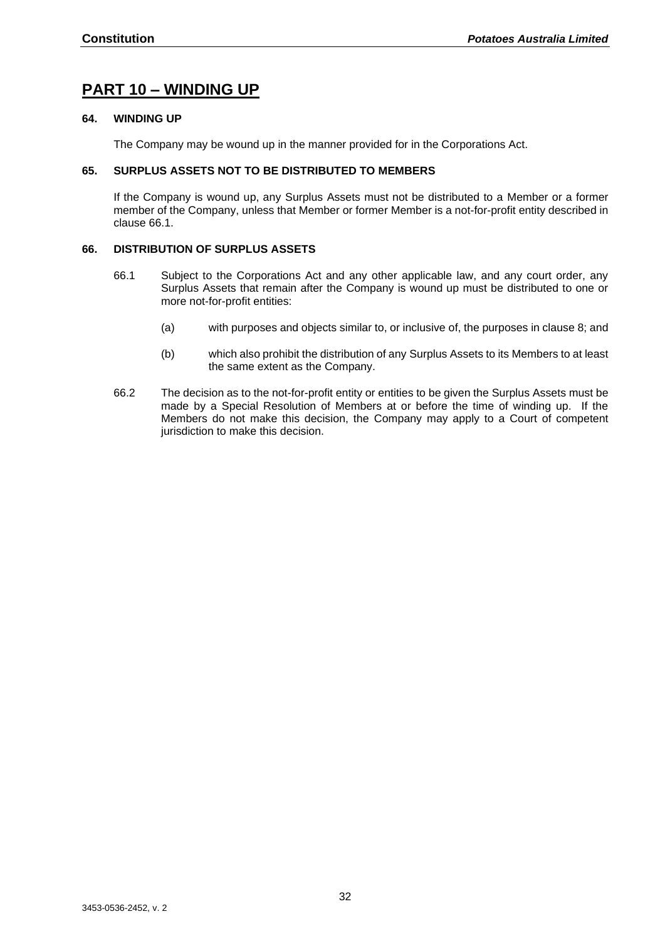## <span id="page-31-0"></span>**PART 10 – WINDING UP**

#### <span id="page-31-1"></span>**64. WINDING UP**

The Company may be wound up in the manner provided for in the Corporations Act.

#### <span id="page-31-2"></span>**65. SURPLUS ASSETS NOT TO BE DISTRIBUTED TO MEMBERS**

If the Company is wound up, any Surplus Assets must not be distributed to a Member or a former member of the Company, unless that Member or former Member is a not-for-profit entity described in clause [66.1.](#page-31-4)

#### <span id="page-31-4"></span><span id="page-31-3"></span>**66. DISTRIBUTION OF SURPLUS ASSETS**

- 66.1 Subject to the Corporations Act and any other applicable law, and any court order, any Surplus Assets that remain after the Company is wound up must be distributed to one or more not-for-profit entities:
	- (a) with purposes and objects similar to, or inclusive of, the purposes in clause 8; and
	- (b) which also prohibit the distribution of any Surplus Assets to its Members to at least the same extent as the Company.
- 66.2 The decision as to the not-for-profit entity or entities to be given the Surplus Assets must be made by a Special Resolution of Members at or before the time of winding up. If the Members do not make this decision, the Company may apply to a Court of competent jurisdiction to make this decision.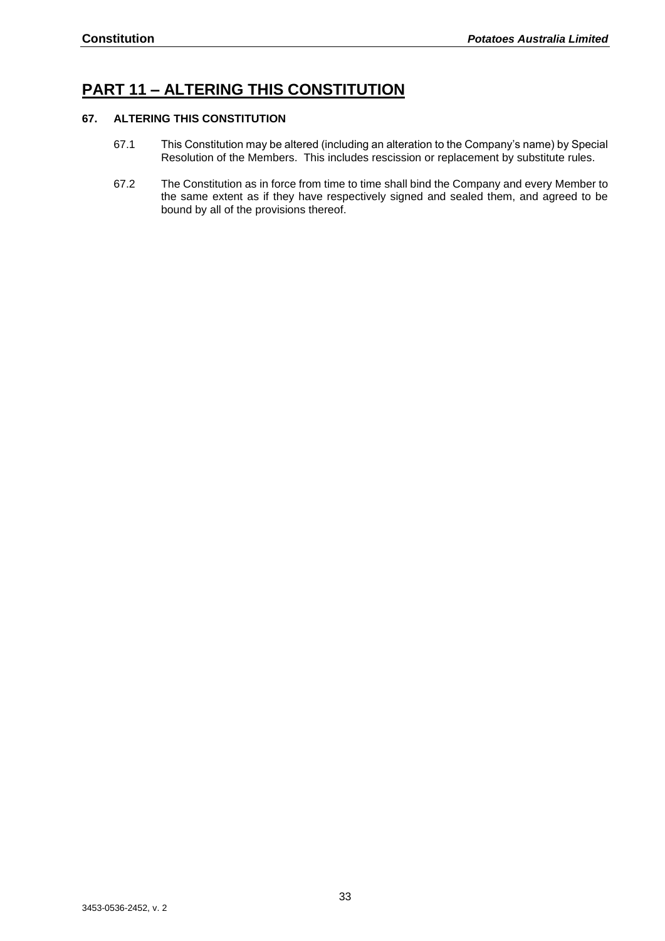## <span id="page-32-0"></span>**PART 11 – ALTERING THIS CONSTITUTION**

#### <span id="page-32-1"></span>**67. ALTERING THIS CONSTITUTION**

- 67.1 This Constitution may be altered (including an alteration to the Company's name) by Special Resolution of the Members. This includes rescission or replacement by substitute rules.
- 67.2 The Constitution as in force from time to time shall bind the Company and every Member to the same extent as if they have respectively signed and sealed them, and agreed to be bound by all of the provisions thereof.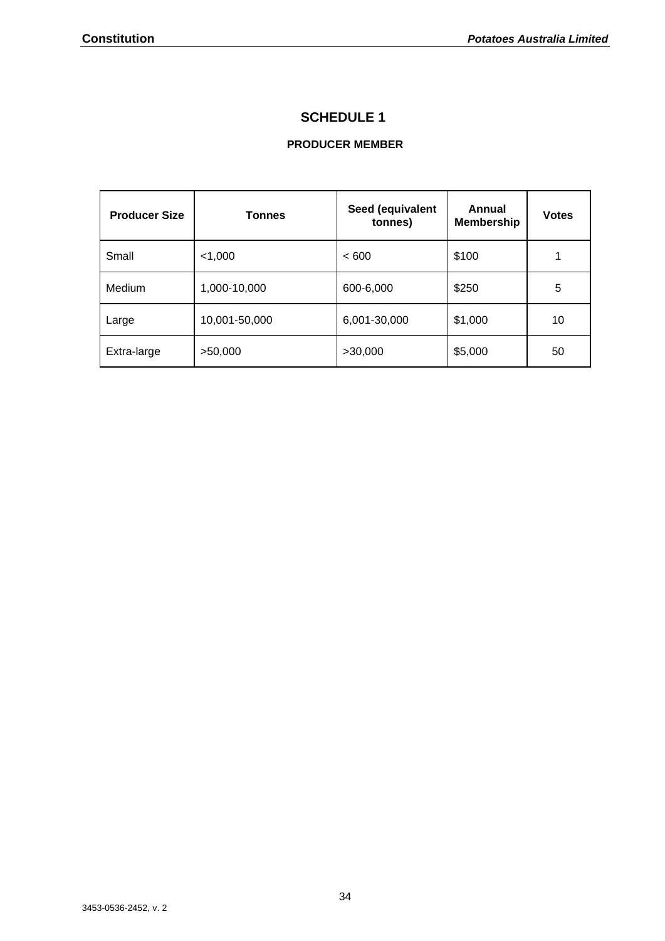## **SCHEDULE 1**

### **PRODUCER MEMBER**

<span id="page-33-0"></span>

| <b>Producer Size</b> | <b>Tonnes</b> | Seed (equivalent<br>tonnes) | Annual<br><b>Membership</b> | <b>Votes</b> |
|----------------------|---------------|-----------------------------|-----------------------------|--------------|
| Small                | $<$ 1,000     | <600                        | \$100                       |              |
| Medium               | 1,000-10,000  | 600-6,000                   | \$250                       | 5            |
| Large                | 10,001-50,000 | 6,001-30,000                | \$1,000                     | 10           |
| Extra-large          | >50,000       | >30,000                     | \$5,000                     | 50           |